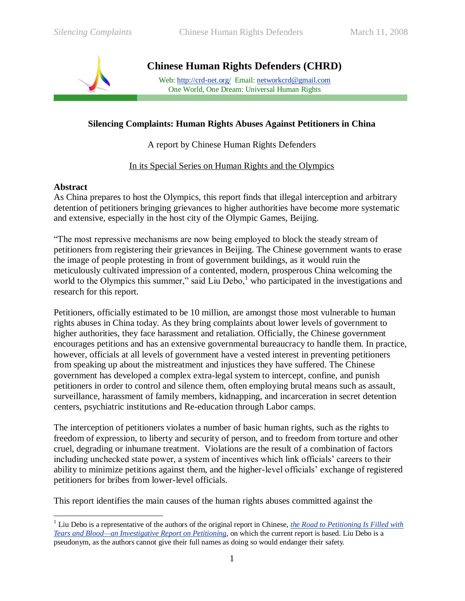

**Chinese Human Rights Defenders (CHRD)**

Web: [http://crd-net.org/](http://crd-net.org/Article/ShowClass.asp?ClassID=9) Email[: networkcrd@gmail.com](mailto:network.crd@gmail.com) One World, One Dream: Universal Human Rights

## **Silencing Complaints: Human Rights Abuses Against Petitioners in China**

A report by Chinese Human Rights Defenders

## In its Special Series on Human Rights and the Olympics

#### **Abstract**

 $\overline{a}$ 

As China prepares to host the Olympics, this report finds that illegal interception and arbitrary detention of petitioners bringing grievances to higher authorities have become more systematic and extensive, especially in the host city of the Olympic Games, Beijing.

―The most repressive mechanisms are now being employed to block the steady stream of petitioners from registering their grievances in Beijing. The Chinese government wants to erase the image of people protesting in front of government buildings, as it would ruin the meticulously cultivated impression of a contented, modern, prosperous China welcoming the world to the Olympics this summer," said Liu Debo, $\frac{1}{1}$  who participated in the investigations and research for this report.

Petitioners, officially estimated to be 10 million, are amongst those most vulnerable to human rights abuses in China today. As they bring complaints about lower levels of government to higher authorities, they face harassment and retaliation. Officially, the Chinese government encourages petitions and has an extensive governmental bureaucracy to handle them. In practice, however, officials at all levels of government have a vested interest in preventing petitioners from speaking up about the mistreatment and injustices they have suffered. The Chinese government has developed a complex extra-legal system to intercept, confine, and punish petitioners in order to control and silence them, often employing brutal means such as assault, surveillance, harassment of family members, kidnapping, and incarceration in secret detention centers, psychiatric institutions and Re-education through Labor camps.

The interception of petitioners violates a number of basic human rights, such as the rights to freedom of expression, to liberty and security of person, and to freedom from torture and other cruel, degrading or inhumane treatment. Violations are the result of a combination of factors including unchecked state power, a system of incentives which link officials' careers to their ability to minimize petitions against them, and the higher-level officials' exchange of registered petitioners for bribes from lower-level officials.

This report identifies the main causes of the human rights abuses committed against the

<sup>1</sup> Liu Debo is a representative of the authors of the original report in Chinese, *[the Road to Petitioning Is Filled with](http://www.crd-net.org/Article/Class1/200802/20080207225132_7506.html)  [Tears and Blood—an Investigative Report on Petitioning](http://www.crd-net.org/Article/Class1/200802/20080207225132_7506.html)*, on which the current report is based. Liu Debo is a pseudonym, as the authors cannot give their full names as doing so would endanger their safety.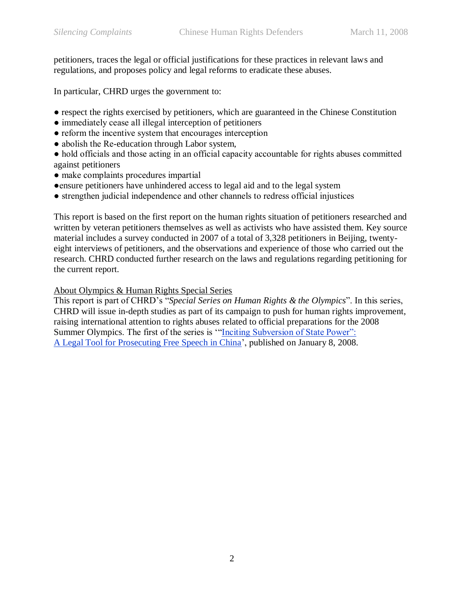petitioners, traces the legal or official justifications for these practices in relevant laws and regulations, and proposes policy and legal reforms to eradicate these abuses.

In particular, CHRD urges the government to:

- respect the rights exercised by petitioners, which are guaranteed in the Chinese Constitution
- immediately cease all illegal interception of petitioners
- reform the incentive system that encourages interception
- abolish the Re-education through Labor system,
- hold officials and those acting in an official capacity accountable for rights abuses committed against petitioners
- make complaints procedures impartial
- ●ensure petitioners have unhindered access to legal aid and to the legal system
- strengthen judicial independence and other channels to redress official injustices

This report is based on the first report on the human rights situation of petitioners researched and written by veteran petitioners themselves as well as activists who have assisted them. Key source material includes a survey conducted in 2007 of a total of 3,328 petitioners in Beijing, twentyeight interviews of petitioners, and the observations and experience of those who carried out the research. CHRD conducted further research on the laws and regulations regarding petitioning for the current report.

#### About Olympics & Human Rights Special Series

This report is part of CHRD's "Special Series on Human Rights & the Olympics". In this series, CHRD will issue in-depth studies as part of its campaign to push for human rights improvement, raising international attention to rights abuses related to official preparations for the 2008 Summer Olympics. The first of the series is "Inciting Subversion of State Power": [A Legal Tool for Prosecuting Free Speech in China'](http://www.crd-net.org/Article/Class9/Class11/200801/20080108225721_7032.html), published on January 8, 2008.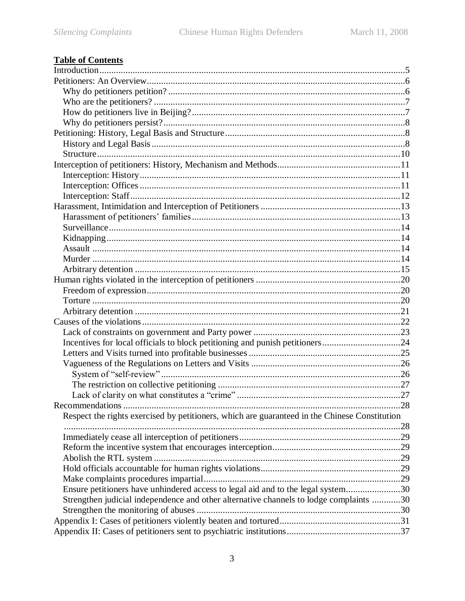# **Table of Contents**

| Incentives for local officials to block petitioning and punish petitioners24                  |    |
|-----------------------------------------------------------------------------------------------|----|
|                                                                                               |    |
|                                                                                               |    |
|                                                                                               |    |
|                                                                                               |    |
|                                                                                               |    |
|                                                                                               | 28 |
| Respect the rights exercised by petitioners, which are guaranteed in the Chinese Constitution |    |
|                                                                                               |    |
|                                                                                               |    |
|                                                                                               |    |
|                                                                                               |    |
|                                                                                               |    |
|                                                                                               |    |
| Ensure petitioners have unhindered access to legal aid and to the legal system30              |    |
| Strengthen judicial independence and other alternative channels to lodge complaints 30        |    |
|                                                                                               |    |
|                                                                                               |    |
|                                                                                               |    |
|                                                                                               |    |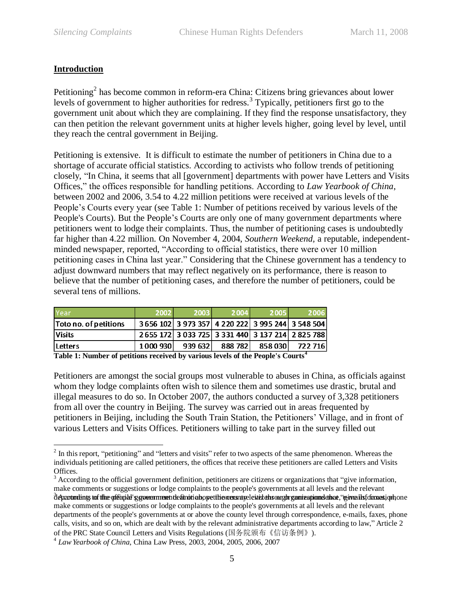## <span id="page-4-0"></span>**Introduction**

 $\overline{a}$ 

Petitioning<sup>2</sup> has become common in reform-era China: Citizens bring grievances about lower levels of government to higher authorities for redress.<sup>3</sup> Typically, petitioners first go to the government unit about which they are complaining. If they find the response unsatisfactory, they can then petition the relevant government units at higher levels higher, going level by level, until they reach the central government in Beijing.

Petitioning is extensive. It is difficult to estimate the number of petitioners in China due to a shortage of accurate official statistics. According to activists who follow trends of petitioning closely, "In China, it seems that all [government] departments with power have Letters and Visits Offices," the offices responsible for handling petitions. According to *Law Yearbook of China*, between 2002 and 2006, 3.54 to 4.22 million petitions were received at various levels of the People's Courts every year (see [Table 1: Number of petitions received by various levels of the](#page-4-1)  [People's Courts\)](#page-4-1). But the People's Courts are only one of many government departments where petitioners went to lodge their complaints. Thus, the number of petitioning cases is undoubtedly far higher than 4.22 million. On November 4, 2004, *Southern Weekend,* a reputable, independentminded newspaper, reported, "According to official statistics, there were over 10 million petitioning cases in China last year." Considering that the Chinese government has a tendency to adjust downward numbers that may reflect negatively on its performance, there is reason to believe that the number of petitioning cases, and therefore the number of petitioners, could be several tens of millions.

| Year                  | 2002     | 2003    | 2004    | 2005                                              | 2006    |
|-----------------------|----------|---------|---------|---------------------------------------------------|---------|
| Toto no. of petitions |          |         |         | 3 656 102 3 973 357 4 220 222 3 995 244 3 548 504 |         |
| <b>Visits</b>         |          |         |         | 2655 172 3 033 725 3 331 440 3 137 214 2 825 788  |         |
| <b>ILetters</b>       | 1000 930 | 939 632 | 888 782 | 858 030                                           | 722 716 |

<span id="page-4-1"></span>**Table 1: Number of petitions received by various levels of the People's Courts<sup>4</sup>**

Petitioners are amongst the social groups most vulnerable to abuses in China, as officials against whom they lodge complaints often wish to silence them and sometimes use drastic, brutal and illegal measures to do so. In October 2007, the authors conducted a survey of 3,328 petitioners from all over the country in Beijing. The survey was carried out in areas frequented by petitioners in Beijing, including the South Train Station, the Petitioners' Village, and in front of various Letters and Visits Offices. Petitioners willing to take part in the survey filled out

 $2$  In this report, "petitioning" and "letters and visits" refer to two aspects of the same phenomenon. Whereas the individuals petitioning are called petitioners, the offices that receive these petitioners are called Letters and Visits Offices.

 $3$  According to the official government definition, petitioners are citizens or organizations that "give information, make comments or suggestions or lodge complaints to the people's governments at all levels and the relevant departments tof the official government definotion opertition cusrusele steads and gomizationn denas, "given its formes i on one make comments or suggestions or lodge complaints to the people's governments at all levels and the relevant departments of the people's governments at or above the county level through correspondence, e-mails, faxes, phone calls, visits, and so on, which are dealt with by the relevant administrative departments according to law," Article 2 of the PRC State Council Letters and Visits Regulations (国务院颁布《信访条例》).

<sup>4</sup> *Law Yearbook of China*, China Law Press, 2003, 2004, 2005, 2006, 2007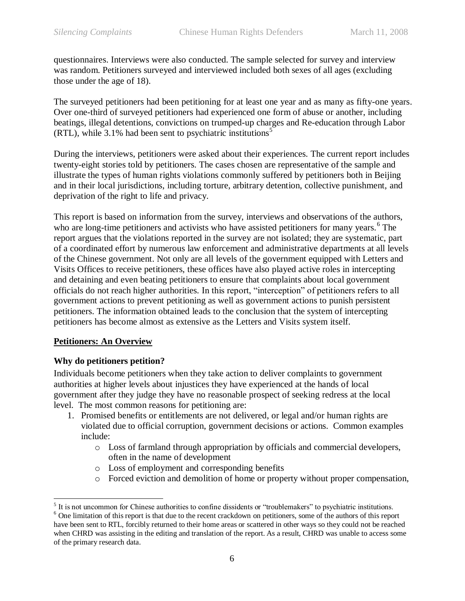questionnaires. Interviews were also conducted. The sample selected for survey and interview was random. Petitioners surveyed and interviewed included both sexes of all ages (excluding those under the age of 18).

The surveyed petitioners had been petitioning for at least one year and as many as fifty-one years. Over one-third of surveyed petitioners had experienced one form of abuse or another, including beatings, illegal detentions, convictions on trumped-up charges and Re-education through Labor (RTL), while  $3.1\%$  had been sent to psychiatric institutions<sup>5</sup>

During the interviews, petitioners were asked about their experiences. The current report includes twenty-eight stories told by petitioners. The cases chosen are representative of the sample and illustrate the types of human rights violations commonly suffered by petitioners both in Beijing and in their local jurisdictions, including torture, arbitrary detention, collective punishment, and deprivation of the right to life and privacy.

This report is based on information from the survey, interviews and observations of the authors, who are long-time petitioners and activists who have assisted petitioners for many years.<sup>6</sup> The report argues that the violations reported in the survey are not isolated; they are systematic, part of a coordinated effort by numerous law enforcement and administrative departments at all levels of the Chinese government. Not only are all levels of the government equipped with Letters and Visits Offices to receive petitioners, these offices have also played active roles in intercepting and detaining and even beating petitioners to ensure that complaints about local government officials do not reach higher authorities. In this report, "interception" of petitioners refers to all government actions to prevent petitioning as well as government actions to punish persistent petitioners. The information obtained leads to the conclusion that the system of intercepting petitioners has become almost as extensive as the Letters and Visits system itself.

## <span id="page-5-0"></span>**Petitioners: An Overview**

 $\overline{a}$ 

## <span id="page-5-1"></span>**Why do petitioners petition?**

Individuals become petitioners when they take action to deliver complaints to government authorities at higher levels about injustices they have experienced at the hands of local government after they judge they have no reasonable prospect of seeking redress at the local level. The most common reasons for petitioning are:

- 1. Promised benefits or entitlements are not delivered, or legal and/or human rights are violated due to official corruption, government decisions or actions. Common examples include:
	- o Loss of farmland through appropriation by officials and commercial developers, often in the name of development
	- o Loss of employment and corresponding benefits
	- o Forced eviction and demolition of home or property without proper compensation,

 $<sup>5</sup>$  It is not uncommon for Chinese authorities to confine dissidents or "troublemakers" to psychiatric institutions.</sup>

<sup>&</sup>lt;sup>6</sup> One limitation of this report is that due to the recent crackdown on petitioners, some of the authors of this report have been sent to RTL, forcibly returned to their home areas or scattered in other ways so they could not be reached when CHRD was assisting in the editing and translation of the report. As a result, CHRD was unable to access some of the primary research data.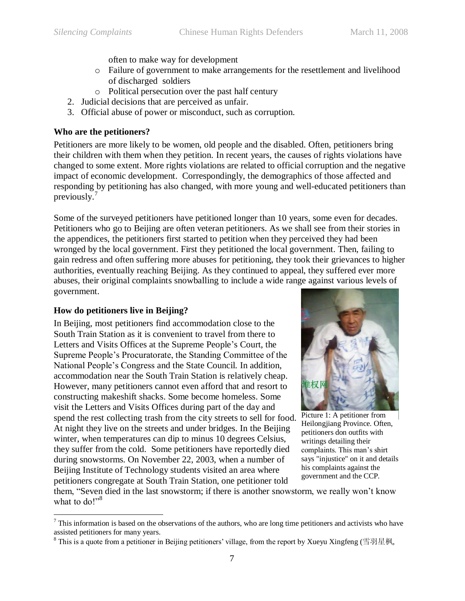often to make way for development

- o Failure of government to make arrangements for the resettlement and livelihood of discharged soldiers
- o Political persecution over the past half century
- 2. Judicial decisions that are perceived as unfair.
- 3. Official abuse of power or misconduct, such as corruption.

### <span id="page-6-0"></span>**Who are the petitioners?**

Petitioners are more likely to be women, old people and the disabled. Often, petitioners bring their children with them when they petition. In recent years, the causes of rights violations have changed to some extent. More rights violations are related to official corruption and the negative impact of economic development. Correspondingly, the demographics of those affected and responding by petitioning has also changed, with more young and well-educated petitioners than previously. 7

Some of the surveyed petitioners have petitioned longer than 10 years, some even for decades. Petitioners who go to Beijing are often veteran petitioners. As we shall see from their stories in the appendices, the petitioners first started to petition when they perceived they had been wronged by the local government. First they petitioned the local government. Then, failing to gain redress and often suffering more abuses for petitioning, they took their grievances to higher authorities, eventually reaching Beijing. As they continued to appeal, they suffered ever more abuses, their original complaints snowballing to include a wide range against various levels of government.

#### <span id="page-6-1"></span>**How do petitioners live in Beijing?**

 $\overline{a}$ 

In Beijing, most petitioners find accommodation close to the South Train Station as it is convenient to travel from there to Letters and Visits Offices at the Supreme People's Court, the Supreme People's Procuratorate, the Standing Committee of the National People's Congress and the State Council. In addition, accommodation near the South Train Station is relatively cheap. However, many petitioners cannot even afford that and resort to constructing makeshift shacks. Some become homeless. Some visit the Letters and Visits Offices during part of the day and spend the rest collecting trash from the city streets to sell for food. At night they live on the streets and under bridges. In the Beijing winter, when temperatures can dip to minus 10 degrees Celsius, they suffer from the cold. Some petitioners have reportedly died during snowstorms. On November 22, 2003, when a number of Beijing Institute of Technology students visited an area where petitioners congregate at South Train Station, one petitioner told



Picture 1: A petitioner from Heilongjiang Province. Often, petitioners don outfits with writings detailing their complaints. This man's shirt says "injustice" on it and details his complaints against the government and the CCP.

them, "Seven died in the last snowstorm; if there is another snowstorm, we really won't know what to  $do!$ <sup>38</sup>

 $<sup>7</sup>$  This information is based on the observations of the authors, who are long time petitioners and activists who have</sup> assisted petitioners for many years.

<sup>&</sup>lt;sup>8</sup> This is a quote from a petitioner in Beijing petitioners' village, from the report by Xueyu Xingfeng (雪羽星枫,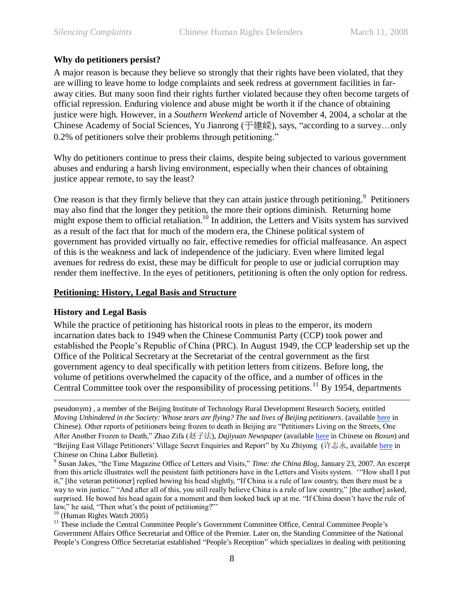#### **Why do petitioners persist?**

<span id="page-7-0"></span>A major reason is because they believe so strongly that their rights have been violated, that they are willing to leave home to lodge complaints and seek redress at government facilities in faraway cities. But many soon find their rights further violated because they often become targets of official repression. Enduring violence and abuse might be worth it if the chance of obtaining justice were high. However, in a *Southern Weekend* article of November 4, 2004, a scholar at the Chinese Academy of Social Sciences, Yu Jianrong (于建嵘), says, "according to a survey...only 0.2% of petitioners solve their problems through petitioning."

Why do petitioners continue to press their claims, despite being subjected to various government abuses and enduring a harsh living environment, especially when their chances of obtaining justice appear remote, to say the least?

One reason is that they firmly believe that they can attain justice through petitioning.<sup>9</sup> Petitioners may also find that the longer they petition, the more their options diminish. Returning home might expose them to official retaliation.<sup>10</sup> In addition, the Letters and Visits system has survived as a result of the fact that for much of the modern era, the Chinese political system of government has provided virtually no fair, effective remedies for official malfeasance. An aspect of this is the weakness and lack of independence of the judiciary. Even where limited legal avenues for redress do exist, these may be difficult for people to use or judicial corruption may render them ineffective. In the eyes of petitioners, petitioning is often the only option for redress.

#### <span id="page-7-1"></span>**Petitioning: History, Legal Basis and Structure**

#### <span id="page-7-2"></span>**History and Legal Basis**

While the practice of petitioning has historical roots in pleas to the emperor, its modern incarnation dates back to 1949 when the Chinese Communist Party (CCP) took power and established the People's Republic of China (PRC). In August 1949, the CCP leadership set up the Office of the Political Secretary at the Secretariat of the central government as the first government agency to deal specifically with petition letters from citizens. Before long, the volume of petitions overwhelmed the capacity of the office, and a number of offices in the Central Committee took over the responsibility of processing petitions.<sup>11</sup> By 1954, departments

<u>.</u> pseudonym) , a member of the Beijing Institute of Technology Rural Development Research Society, entitled *Moving Unhindered in the Society: Whose tears are flying? The sad lives of Beijing petitioners*. (availabl[e here](http://www.yhcw.net/MyBBS/yd/mes/2229.htm) in Chinese). Other reports of petitioners being frozen to death in Beijing are "Petitioners Living on the Streets, One After Another Frozen to Death,‖ Zhao Zifa (赵子法), *Dajiyuan Newspaper* (available [here](http://www.peacehall.com/news/gb/china/2004/12/200412300000.shtml) in Chinese on *Boxun*) and ―Beijing East Village Petitioners' Village Secret Enquiries and Report‖ by Xu Zhiyong (许志永, availabl[e here](http://www.china-labour.org.hk/chi/node/107984/print) in Chinese on China Labor Bulletin).

<sup>9</sup> Susan Jakes, "the Time Magazine Office of Letters and Visits," *Time: the China Blog, January 23, 2007*. An excerpt from this article illustrates well the pesistent faith petitioners have in the Letters and Visits system. "How shall I put it," [the veteran petitioner] replied bowing his head slightly, "If China is a rule of law country, then there must be a way to win justice." "And after all of this, you still really believe China is a rule of law country," [the author] asked, surprised. He bowed his head again for a moment and then looked back up at me. "If China doesn't have the rule of law," he said, "Then what's the point of petitioning?"

<sup>10</sup> (Human Rights Watch 2005)

<sup>11</sup> These include the Central Committee People's Government Committee Office, Central Committee People's Government Affairs Office Secretariat and Office of the Premier. Later on, the Standing Committee of the National People's Congress Office Secretariat established "People's Reception" which specializes in dealing with petitioning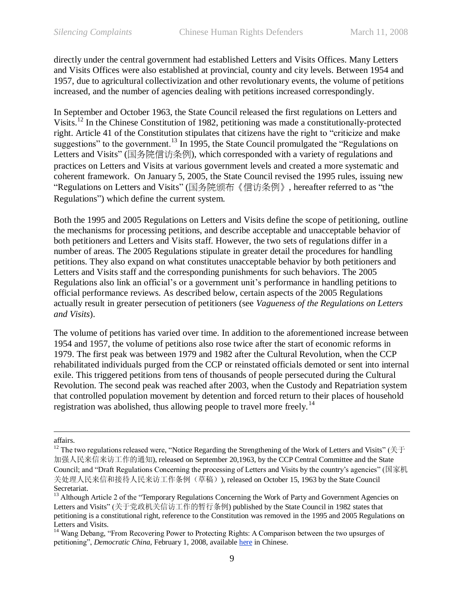directly under the central government had established Letters and Visits Offices. Many Letters and Visits Offices were also established at provincial, county and city levels. Between 1954 and 1957, due to agricultural collectivization and other revolutionary events, the volume of petitions increased, and the number of agencies dealing with petitions increased correspondingly.

In September and October 1963, the State Council released the first regulations on Letters and Visits.<sup>12</sup> In the Chinese Constitution of 1982, petitioning was made a constitutionally-protected right. Article 41 of the Constitution stipulates that citizens have the right to "criticize and make suggestions" to the government.<sup>13</sup> In 1995, the State Council promulgated the "Regulations on Letters and Visits" (国务院信访条例), which corresponded with a variety of regulations and practices on Letters and Visits at various government levels and created a more systematic and coherent framework. On January 5, 2005, the State Council revised the 1995 rules, issuing new "Regulations on Letters and Visits" (国务院颁布《信访条例》, hereafter referred to as "the Regulations") which define the current system.

Both the 1995 and 2005 Regulations on Letters and Visits define the scope of petitioning, outline the mechanisms for processing petitions, and describe acceptable and unacceptable behavior of both petitioners and Letters and Visits staff. However, the two sets of regulations differ in a number of areas. The 2005 Regulations stipulate in greater detail the procedures for handling petitions. They also expand on what constitutes unacceptable behavior by both petitioners and Letters and Visits staff and the corresponding punishments for such behaviors. The 2005 Regulations also link an official's or a government unit's performance in handling petitions to official performance reviews. As described below, certain aspects of the 2005 Regulations actually result in greater persecution of petitioners (see *[Vagueness of the](#page-25-0) Regulations on Letters [and Visits](#page-25-0)*).

The volume of petitions has varied over time. In addition to the aforementioned increase between 1954 and 1957, the volume of petitions also rose twice after the start of economic reforms in 1979. The first peak was between 1979 and 1982 after the Cultural Revolution, when the CCP rehabilitated individuals purged from the CCP or reinstated officials demoted or sent into internal exile. This triggered petitions from tens of thousands of people persecuted during the Cultural Revolution. The second peak was reached after 2003, when the Custody and Repatriation system that controlled population movement by detention and forced return to their places of household registration was abolished, thus allowing people to travel more freely.<sup>14</sup>

<u>.</u>

affairs.

<sup>&</sup>lt;sup>12</sup> The two regulations released were, "Notice Regarding the Strengthening of the Work of Letters and Visits" ( $\#$   $\mp$ 加强人民来信来访工作的通知), released on September 20,1963, by the CCP Central Committee and the State Council; and "Draft Regulations Concerning the processing of Letters and Visits by the country's agencies" (国家机 关处理人民来信和接待人民来访工作条例(草稿)), released on October 15, 1963 by the State Council Secretariat.

<sup>&</sup>lt;sup>13</sup> Although Article 2 of the "Temporary Regulations Concerning the Work of Party and Government Agencies on Letters and Visits" (关于党政机关信访工作的暂行条例) published by the State Council in 1982 states that petitioning is a constitutional right, reference to the Constitution was removed in the 1995 and 2005 Regulations on Letters and Visits.

<sup>&</sup>lt;sup>14</sup> Wang Debang, "From Recovering Power to Protecting Rights: A Comparison between the two upsurges of petitioning", *Democratic China*, February 1, 2008, available [here](http://minzhuzhongguo.org/Article/ShowArticle.asp?ArticleID=3461) in Chinese.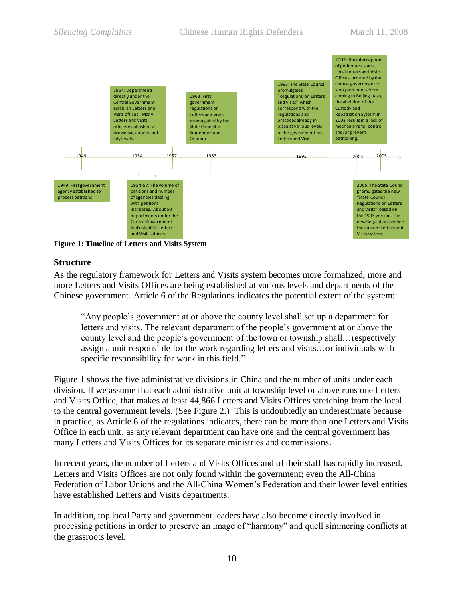

<span id="page-9-1"></span><span id="page-9-0"></span>**Figure 1: Timeline of Letters and Visits System**

#### **Structure**

As the regulatory framework for Letters and Visits system becomes more formalized, more and more Letters and Visits Offices are being established at various levels and departments of the Chinese government. Article 6 of the Regulations indicates the potential extent of the system:

―Any people's government at or above the county level shall set up a department for letters and visits. The relevant department of the people's government at or above the county level and the people's government of the town or township shall…respectively assign a unit responsible for the work regarding letters and visits…or individuals with specific responsibility for work in this field."

[Figure 1](#page-9-1) shows the five administrative divisions in China and the number of units under each division. If we assume that each administrative unit at township level or above runs one Letters and Visits Office, that makes at least 44,866 Letters and Visits Offices stretching from the local to the central government levels. (See Figure 2.) This is undoubtedly an underestimate because in practice, as Article 6 of the regulations indicates, there can be more than one Letters and Visits Office in each unit, as any relevant department can have one and the central government has many Letters and Visits Offices for its separate ministries and commissions.

In recent years, the number of Letters and Visits Offices and of their staff has rapidly increased. Letters and Visits Offices are not only found within the government; even the All-China Federation of Labor Unions and the All-China Women's Federation and their lower level entities have established Letters and Visits departments.

In addition, top local Party and government leaders have also become directly involved in processing petitions in order to preserve an image of "harmony" and quell simmering conflicts at the grassroots level.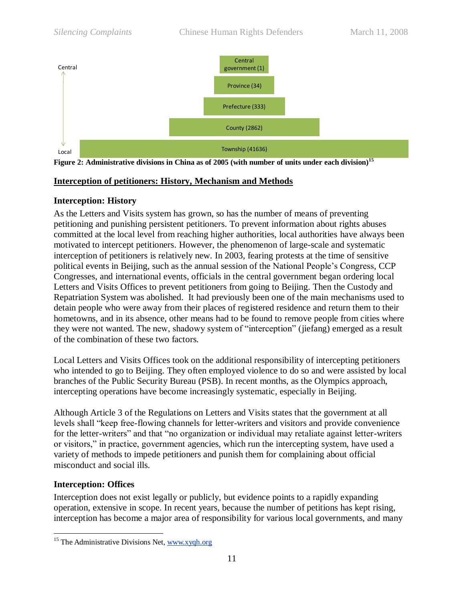

<span id="page-10-0"></span>**Figure 2: Administrative divisions in China as of 2005 (with number of units under each division)<sup>15</sup>**

## **Interception of petitioners: History, Mechanism and Methods**

## <span id="page-10-1"></span>**Interception: History**

Province (34)<br>
refecture (333)<br>
refecture (333)<br>
County (2862)<br>
wnship (4163)<br>
i (with num<br>
ism and N<br>
ism and N<br>
ism and N<br>
has the num<br>
To preve<br>
er authori<br>
reference proving proving the contributional respective<br>
of re As the Letters and Visits system has grown, so has the number of means of preventing petitioning and punishing persistent petitioners. To prevent information about rights abuses committed at the local level from reaching higher authorities, local authorities have always been motivated to intercept petitioners. However, the phenomenon of large-scale and systematic interception of petitioners is relatively new. In 2003, fearing protests at the time of sensitive political events in Beijing, such as the annual session of the National People's Congress, CCP Congresses, and international events, officials in the central government began ordering local Letters and Visits Offices to prevent petitioners from going to Beijing. Then the Custody and Repatriation System was abolished. It had previously been one of the main mechanisms used to detain people who were away from their places of registered residence and return them to their hometowns, and in its absence, other means had to be found to remove people from cities where they were not wanted. The new, shadowy system of "interception" (jiefang) emerged as a result of the combination of these two factors.

Local Letters and Visits Offices took on the additional responsibility of intercepting petitioners who intended to go to Beijing. They often employed violence to do so and were assisted by local branches of the Public Security Bureau (PSB). In recent months, as the Olympics approach, intercepting operations have become increasingly systematic, especially in Beijing.

Although Article 3 of the Regulations on Letters and Visits states that the government at all levels shall "keep free-flowing channels for letter-writers and visitors and provide convenience for the letter-writers" and that "no organization or individual may retaliate against letter-writers or visitors," in practice, government agencies, which run the intercepting system, have used a variety of methods to impede petitioners and punish them for complaining about official misconduct and social ills.

## <span id="page-10-2"></span>**Interception: Offices**

Interception does not exist legally or publicly, but evidence points to a rapidly expanding operation, extensive in scope. In recent years, because the number of petitions has kept rising, interception has become a major area of responsibility for various local governments, and many

 $\overline{a}$  $15$  The Administrative Divisions Net, [www.xyqh.org](http://www.xyqh.org/)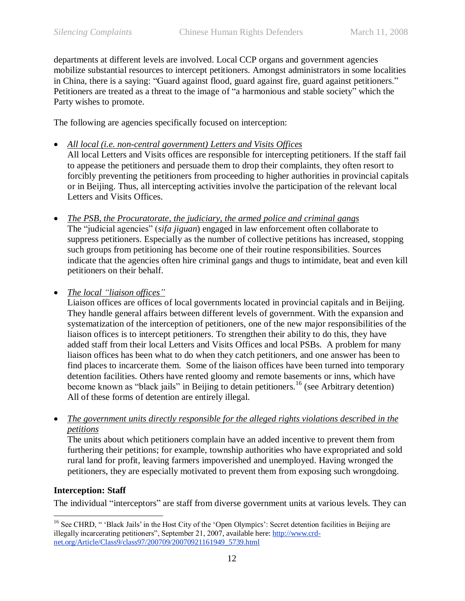departments at different levels are involved. Local CCP organs and government agencies mobilize substantial resources to intercept petitioners. Amongst administrators in some localities in China, there is a saying: "Guard against flood, guard against fire, guard against petitioners." Petitioners are treated as a threat to the image of "a harmonious and stable society" which the Party wishes to promote.

The following are agencies specifically focused on interception:

- *All local (i.e. non-central government) Letters and Visits Offices*
- All local Letters and Visits offices are responsible for intercepting petitioners. If the staff fail to appease the petitioners and persuade them to drop their complaints, they often resort to forcibly preventing the petitioners from proceeding to higher authorities in provincial capitals or in Beijing. Thus, all intercepting activities involve the participation of the relevant local Letters and Visits Offices.
- *The PSB, the Procuratorate, the judiciary, the armed police and criminal gangs* The "judicial agencies" (*sifa jiguan*) engaged in law enforcement often collaborate to suppress petitioners. Especially as the number of collective petitions has increased, stopping such groups from petitioning has become one of their routine responsibilities. Sources indicate that the agencies often hire criminal gangs and thugs to intimidate, beat and even kill petitioners on their behalf.
- *The local "liaison offices"*

Liaison offices are offices of local governments located in provincial capitals and in Beijing. They handle general affairs between different levels of government. With the expansion and systematization of the interception of petitioners, one of the new major responsibilities of the liaison offices is to intercept petitioners. To strengthen their ability to do this, they have added staff from their local Letters and Visits Offices and local PSBs. A problem for many liaison offices has been what to do when they catch petitioners, and one answer has been to find places to incarcerate them. Some of the liaison offices have been turned into temporary detention facilities. Others have rented gloomy and remote basements or inns, which have become known as "black jails" in Beijing to detain petitioners.<sup>16</sup> (see [Arbitrary detention\)](#page-14-0) All of these forms of detention are entirely illegal.

 *The government units directly responsible for the alleged rights violations described in the petitions*

The units about which petitioners complain have an added incentive to prevent them from furthering their petitions; for example, township authorities who have expropriated and sold rural land for profit, leaving farmers impoverished and unemployed. Having wronged the petitioners, they are especially motivated to prevent them from exposing such wrongdoing.

## <span id="page-11-0"></span>**Interception: Staff**

The individual "interceptors" are staff from diverse government units at various levels. They can

 $\overline{a}$ <sup>16</sup> See CHRD, " 'Black Jails' in the Host City of the 'Open Olympics': Secret detention facilities in Beijing are illegally incarcerating petitioners", September 21, 2007, available here: [http://www.crd](http://www.crd-net.org/Article/Class9/class97/200709/20070921161949_5739.html)[net.org/Article/Class9/class97/200709/20070921161949\\_5739.html](http://www.crd-net.org/Article/Class9/class97/200709/20070921161949_5739.html)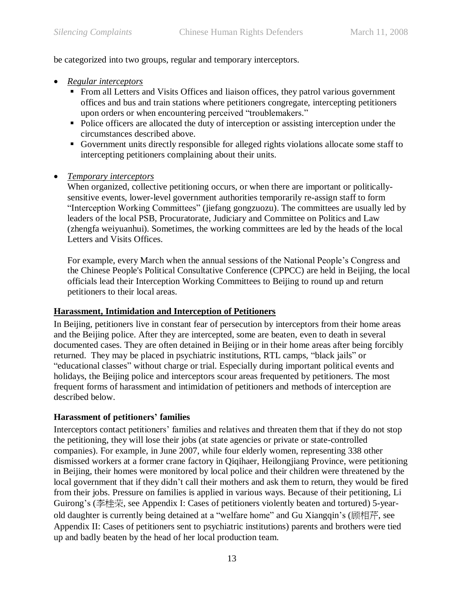be categorized into two groups, regular and temporary interceptors.

- *Regular interceptors* 
	- From all Letters and Visits Offices and liaison offices, they patrol various government offices and bus and train stations where petitioners congregate, intercepting petitioners upon orders or when encountering perceived "troublemakers."
	- Police officers are allocated the duty of interception or assisting interception under the circumstances described above.
	- Government units directly responsible for alleged rights violations allocate some staff to intercepting petitioners complaining about their units.
- *Temporary interceptors*

When organized, collective petitioning occurs, or when there are important or politicallysensitive events, lower-level government authorities temporarily re-assign staff to form "Interception Working Committees" (jiefang gongzuozu). The committees are usually led by leaders of the local PSB, Procuratorate, Judiciary and Committee on Politics and Law (zhengfa weiyuanhui). Sometimes, the working committees are led by the heads of the local Letters and Visits Offices.

For example, every March when the annual sessions of the National People's Congress and the Chinese People's Political Consultative Conference (CPPCC) are held in Beijing, the local officials lead their Interception Working Committees to Beijing to round up and return petitioners to their local areas.

## <span id="page-12-0"></span>**Harassment, Intimidation and Interception of Petitioners**

In Beijing, petitioners live in constant fear of persecution by interceptors from their home areas and the Beijing police. After they are intercepted, some are beaten, even to death in several documented cases. They are often detained in Beijing or in their home areas after being forcibly returned. They may be placed in psychiatric institutions, RTL camps, "black jails" or "educational classes" without charge or trial. Especially during important political events and holidays, the Beijing police and interceptors scour areas frequented by petitioners. The most frequent forms of harassment and intimidation of petitioners and methods of interception are described below.

## <span id="page-12-1"></span>**Harassment of petitioners' families**

Interceptors contact petitioners' families and relatives and threaten them that if they do not stop the petitioning, they will lose their jobs (at state agencies or private or state-controlled companies). For example, in June 2007, while four elderly women, representing 338 other dismissed workers at a former crane factory in Qiqihaer, Heilongjiang Province, were petitioning in Beijing, their homes were monitored by local police and their children were threatened by the local government that if they didn't call their mothers and ask them to return, they would be fired from their jobs. Pressure on families is applied in various ways. Because of their petitioning, Li Guirong's (李桂荣, see [Appendix I: Cases of petitioners violently beaten and tortured\)](#page-30-0) 5-yearold daughter is currently being detained at a "welfare home" and Gu Xiangqin's (顾相芹, see [Appendix II: Cases of petitioners sent to psychiatric institutions\)](#page-36-0) parents and brothers were tied up and badly beaten by the head of her local production team.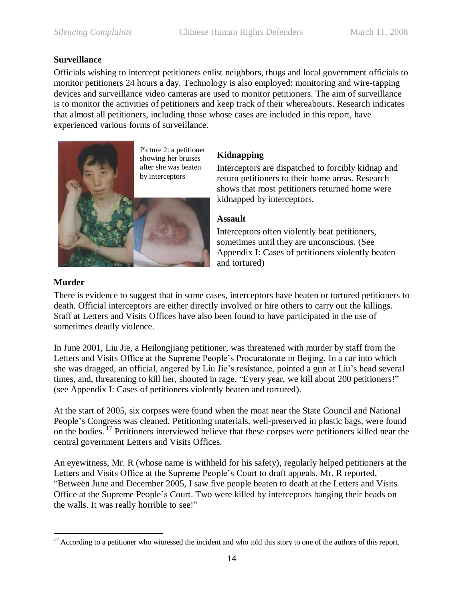## **Surveillance**

<span id="page-13-0"></span>Officials wishing to intercept petitioners enlist neighbors, thugs and local government officials to monitor petitioners 24 hours a day. Technology is also employed: monitoring and wire-tapping devices and surveillance video cameras are used to monitor petitioners. The aim of surveillance is to monitor the activities of petitioners and keep track of their whereabouts. Research indicates that almost all petitioners, including those whose cases are included in this report, have experienced various forms of surveillance.



## <span id="page-13-1"></span>**Kidnapping**

Interceptors are dispatched to forcibly kidnap and return petitioners to their home areas. Research shows that most petitioners returned home were kidnapped by interceptors.

## <span id="page-13-2"></span>**Assault**

Interceptors often violently beat petitioners, sometimes until they are unconscious. (See [Appendix I: Cases of petitioners violently beaten](#page-30-0)  [and tortured\)](#page-30-0)

## <span id="page-13-3"></span>**Murder**

There is evidence to suggest that in some cases, interceptors have beaten or tortured petitioners to death. Official interceptors are either directly involved or hire others to carry out the killings. Staff at Letters and Visits Offices have also been found to have participated in the use of sometimes deadly violence.

In June 2001, Liu Jie, a Heilongjiang petitioner, was threatened with murder by staff from the Letters and Visits Office at the Supreme People's Procuratorate in Beijing. In a car into which she was dragged, an official, angered by Liu Jie's resistance, pointed a gun at Liu's head several times, and, threatening to kill her, shouted in rage, "Every year, we kill about 200 petitioners!" (see [Appendix I: Cases of petitioners violently beaten and tortured\)](#page-30-0).

At the start of 2005, six corpses were found when the moat near the State Council and National People's Congress was cleaned. Petitioning materials, well-preserved in plastic bags, were found on the bodies.<sup>17</sup> Petitioners interviewed believe that these corpses were petitioners killed near the central government Letters and Visits Offices.

An eyewitness, Mr. R (whose name is withheld for his safety), regularly helped petitioners at the Letters and Visits Office at the Supreme People's Court to draft appeals. Mr. R reported, "Between June and December 2005, I saw five people beaten to death at the Letters and Visits Office at the Supreme People's Court. Two were killed by interceptors banging their heads on the walls. It was really horrible to see!"

 $\overline{a}$  $17$  According to a petitioner who witnessed the incident and who told this story to one of the authors of this report.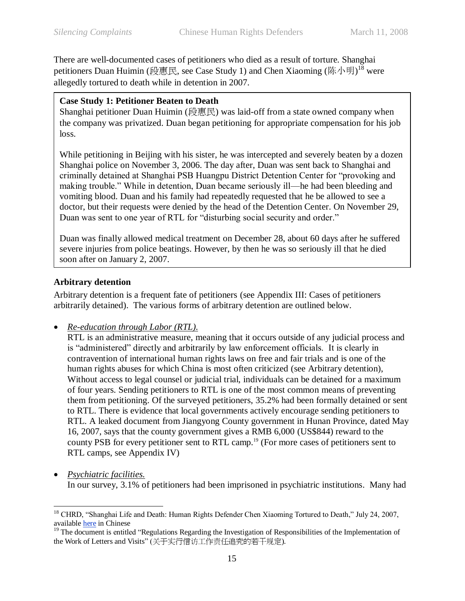There are well-documented cases of petitioners who died as a result of torture. Shanghai petitioners Duan Huimin (段惠民, see [Case Study 1\)](#page-14-1) and Chen Xiaoming (陈小明) $^{18}$  were allegedly tortured to death while in detention in 2007.

#### <span id="page-14-1"></span>**Case Study 1: Petitioner Beaten to Death**

Shanghai petitioner Duan Huimin (段惠民) was laid-off from a state owned company when the company was privatized. Duan began petitioning for appropriate compensation for his job loss.

While petitioning in Beijing with his sister, he was intercepted and severely beaten by a dozen Shanghai police on November 3, 2006. The day after, Duan was sent back to Shanghai and criminally detained at Shanghai PSB Huangpu District Detention Center for "provoking and making trouble." While in detention, Duan became seriously ill—he had been bleeding and vomiting blood. Duan and his family had repeatedly requested that he be allowed to see a doctor, but their requests were denied by the head of the Detention Center. On November 29, Duan was sent to one year of RTL for "disturbing social security and order."

Duan was finally allowed medical treatment on December 28, about 60 days after he suffered severe injuries from police beatings. However, by then he was so seriously ill that he died soon after on January 2, 2007.

## <span id="page-14-0"></span>**Arbitrary detention**

Arbitrary detention is a frequent fate of petitioners (see [Appendix III: Cases of petitioners](#page-40-0)  [arbitrarily detained\)](#page-40-0). The various forms of arbitrary detention are outlined below.

*Re-education through Labor (RTL).* 

RTL is an administrative measure, meaning that it occurs outside of any judicial process and is "administered" directly and arbitrarily by law enforcement officials. It is clearly in contravention of international human rights laws on free and fair trials and is one of the human rights abuses for which China is most often criticized (see [Arbitrary detention\)](#page-14-0), Without access to legal counsel or judicial trial, individuals can be detained for a maximum of four years. Sending petitioners to RTL is one of the most common means of preventing them from petitioning. Of the surveyed petitioners, 35.2% had been formally detained or sent to RTL. There is evidence that local governments actively encourage sending petitioners to RTL. A leaked document from Jiangyong County government in Hunan Province, dated May 16, 2007, says that the county government gives a RMB 6,000 (US\$844) reward to the county PSB for every petitioner sent to RTL camp. <sup>19</sup> (For more cases of petitioners sent to RTL camps, see Appendix IV)

 *Psychiatric facilities.*  In our survey, 3.1% of petitioners had been imprisoned in psychiatric institutions. Many had

 $\overline{a}$ <sup>18</sup> CHRD, "Shanghai Life and Death: Human Rights Defender Chen Xiaoming Tortured to Death," July 24, 2007, available [here](http://www.crd-net.org/Article/Class18/Class78/200707/20070724162747_6114.html) in Chinese

 $19$  The document is entitled "Regulations Regarding the Investigation of Responsibilities of the Implementation of the Work of Letters and Visits" (关于实行信访工作责任追究的若干规定).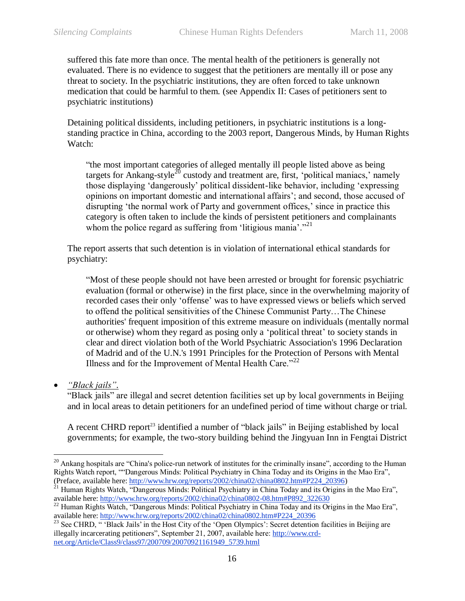suffered this fate more than once. The mental health of the petitioners is generally not evaluated. There is no evidence to suggest that the petitioners are mentally ill or pose any threat to society. In the psychiatric institutions, they are often forced to take unknown medication that could be harmful to them. (see [Appendix II: Cases of petitioners sent to](#page-36-0)  [psychiatric institutions\)](#page-36-0)

Detaining political dissidents, including petitioners, in psychiatric institutions is a longstanding practice in China, according to the 2003 report, Dangerous Minds, by Human Rights Watch:

―the most important categories of alleged mentally ill people listed above as being targets for Ankang-style<sup>20</sup> custody and treatment are, first, 'political maniacs,' namely those displaying ‗dangerously' political dissident-like behavior, including ‗expressing opinions on important domestic and international affairs'; and second, those accused of disrupting 'the normal work of Party and government offices,' since in practice this category is often taken to include the kinds of persistent petitioners and complainants whom the police regard as suffering from 'litigious mania'. $^{221}$ 

The report asserts that such detention is in violation of international ethical standards for psychiatry:

―Most of these people should not have been arrested or brought for forensic psychiatric evaluation (formal or otherwise) in the first place, since in the overwhelming majority of recorded cases their only 'offense' was to have expressed views or beliefs which served to offend the political sensitivities of the Chinese Communist Party…The Chinese authorities' frequent imposition of this extreme measure on individuals (mentally normal or otherwise) whom they regard as posing only a 'political threat' to society stands in clear and direct violation both of the World Psychiatric Association's 1996 Declaration of Madrid and of the U.N.'s 1991 Principles for the Protection of Persons with Mental Illness and for the Improvement of Mental Health Care.<sup> $22$ </sup>

*"Black jails".*

 $\overline{a}$ 

"Black jails" are illegal and secret detention facilities set up by local governments in Beijing and in local areas to detain petitioners for an undefined period of time without charge or trial.

A recent CHRD report<sup>23</sup> identified a number of "black jails" in Beijing established by local governments; for example, the two-story building behind the Jingyuan Inn in Fengtai District

 $20$  Ankang hospitals are "China's police-run network of institutes for the criminally insane", according to the Human Rights Watch report, ""Dangerous Minds: Political Psychiatry in China Today and its Origins in the Mao Era", (Preface, available here: [http://www.hrw.org/reports/2002/china02/china0802.htm#P224\\_20396\)](http://www.hrw.org/reports/2002/china02/china0802.htm#P224_20396)

Human Rights Watch, "Dangerous Minds: Political Psychiatry in China Today and its Origins in the Mao Era", available here: [http://www.hrw.org/reports/2002/china02/china0802-08.htm#P892\\_322630](http://www.hrw.org/reports/2002/china02/china0802-08.htm#P892_322630)

<sup>&</sup>lt;sup>22</sup> Human Rights Watch, "Dangerous Minds: Political Psychiatry in China Today and its Origins in the Mao Era", available here: [http://www.hrw.org/reports/2002/china02/china0802.htm#P224\\_20396](http://www.hrw.org/reports/2002/china02/china0802.htm#P224_20396)

<sup>&</sup>lt;sup>23</sup> See CHRD, "Black Jails' in the Host City of the 'Open Olympics': Secret detention facilities in Beijing are illegally incarcerating petitioners", September 21, 2007, available here: [http://www.crd](http://www.crd-net.org/Article/Class9/class97/200709/20070921161949_5739.html)[net.org/Article/Class9/class97/200709/20070921161949\\_5739.html](http://www.crd-net.org/Article/Class9/class97/200709/20070921161949_5739.html)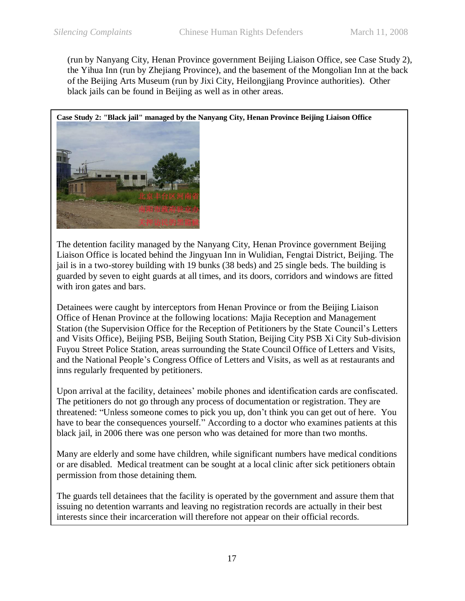(run by Nanyang City, Henan Province government Beijing Liaison Office, see [Case Study 2\)](#page-16-0), the Yihua Inn (run by Zhejiang Province), and the basement of the Mongolian Inn at the back of the Beijing Arts Museum (run by Jixi City, Heilongjiang Province authorities). Other black jails can be found in Beijing as well as in other areas.

<span id="page-16-0"></span>**Case Study 2: "Black jail" managed by the Nanyang City, Henan Province Beijing Liaison Office** 



The detention facility managed by the Nanyang City, Henan Province government Beijing Liaison Office is located behind the Jingyuan Inn in Wulidian, Fengtai District, Beijing. The jail is in a two-storey building with 19 bunks (38 beds) and 25 single beds. The building is guarded by seven to eight guards at all times, and its doors, corridors and windows are fitted with iron gates and bars.

Detainees were caught by interceptors from Henan Province or from the Beijing Liaison Office of Henan Province at the following locations: Majia Reception and Management Station (the Supervision Office for the Reception of Petitioners by the State Council's Letters and Visits Office), Beijing PSB, Beijing South Station, Beijing City PSB Xi City Sub-division Fuyou Street Police Station, areas surrounding the State Council Office of Letters and Visits, and the National People's Congress Office of Letters and Visits, as well as at restaurants and inns regularly frequented by petitioners.

Upon arrival at the facility, detainees' mobile phones and identification cards are confiscated. The petitioners do not go through any process of documentation or registration. They are threatened: "Unless someone comes to pick you up, don't think you can get out of here. You have to bear the consequences yourself." According to a doctor who examines patients at this black jail, in 2006 there was one person who was detained for more than two months.

Many are elderly and some have children, while significant numbers have medical conditions or are disabled. Medical treatment can be sought at a local clinic after sick petitioners obtain permission from those detaining them.

The guards tell detainees that the facility is operated by the government and assure them that issuing no detention warrants and leaving no registration records are actually in their best interests since their incarceration will therefore not appear on their official records.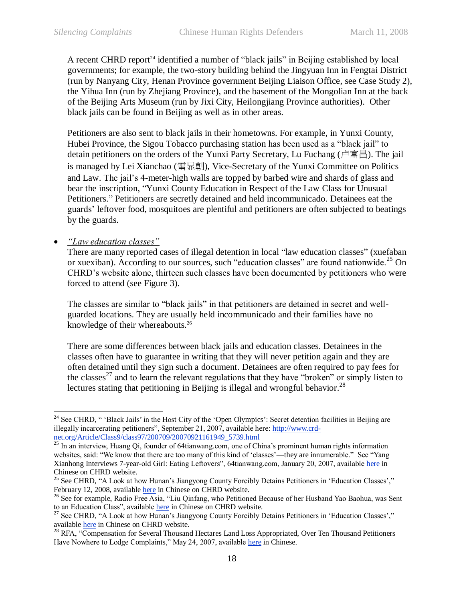A recent CHRD report<sup>24</sup> identified a number of "black jails" in Beijing established by local governments; for example, the two-story building behind the Jingyuan Inn in Fengtai District (run by Nanyang City, Henan Province government Beijing Liaison Office, see [Case Study 2\)](#page-16-0), the Yihua Inn (run by Zhejiang Province), and the basement of the Mongolian Inn at the back of the Beijing Arts Museum (run by Jixi City, Heilongjiang Province authorities). Other black jails can be found in Beijing as well as in other areas.

Petitioners are also sent to black jails in their hometowns. For example, in Yunxi County, Hubei Province, the Sigou Tobacco purchasing station has been used as a "black jail" to detain petitioners on the orders of the Yunxi Party Secretary, Lu Fuchang (卢富昌). The jail is managed by Lei Xianchao (雷显朝), Vice-Secretary of the Yunxi Committee on Politics and Law. The jail's 4-meter-high walls are topped by barbed wire and shards of glass and bear the inscription, "Yunxi County Education in Respect of the Law Class for Unusual Petitioners." Petitioners are secretly detained and held incommunicado. Detainees eat the guards' leftover food, mosquitoes are plentiful and petitioners are often subjected to beatings by the guards.

*"Law education classes"*

 $\overline{a}$ 

There are many reported cases of illegal detention in local "law education classes" (xuefaban or xuexiban). According to our sources, such "education classes" are found nationwide.<sup>25</sup> On CHRD's website alone, thirteen such classes have been documented by petitioners who were forced to attend (see [Figure 3\)](#page-18-0).

The classes are similar to "black jails" in that petitioners are detained in secret and wellguarded locations. They are usually held incommunicado and their families have no knowledge of their whereabouts.<sup>26</sup>

There are some differences between black jails and education classes. Detainees in the classes often have to guarantee in writing that they will never petition again and they are often detained until they sign such a document. Detainees are often required to pay fees for the classes<sup>27</sup> and to learn the relevant regulations that they have "broken" or simply listen to lectures stating that petitioning in Beijing is illegal and wrongful behavior.<sup>28</sup>

<sup>&</sup>lt;sup>24</sup> See CHRD,  $\degree$  'Black Jails' in the Host City of the 'Open Olympics': Secret detention facilities in Beijing are illegally incarcerating petitioners", September 21, 2007, available here: [http://www.crd](http://www.crd-net.org/Article/Class9/class97/200709/20070921161949_5739.html)[net.org/Article/Class9/class97/200709/20070921161949\\_5739.html](http://www.crd-net.org/Article/Class9/class97/200709/20070921161949_5739.html)<br>
<sup>25</sup> In an interview Huang Of fact 1, 2007, 20070921161949\_5739.html

<sup>25</sup> In an interview, Huang Qi, founder of 64tianwang.com, one of China's prominent human rights information websites, said: "We know that there are too many of this kind of 'classes'—they are innumerable." See "Yang" Xianhong Interviews 7-year-old Girl: Eating Leftovers", 64tianwang.com, January 20, 2007, available [here](http://www.crd-net.org/Article/Class53/200701/20070120121754_3168.html) in Chinese on CHRD website.

<sup>&</sup>lt;sup>25</sup> See CHRD, "A Look at how Hunan's Jiangyong County Forcibly Detains Petitioners in 'Education Classes'," February 12, 2008, available [here](http://www.crd-net.org/Article/fmzj/200802/20080212212353_7549.html) in Chinese on CHRD website.

<sup>&</sup>lt;sup>26</sup> See for example, Radio Free Asia, "Liu Qinfang, who Petitioned Because of her Husband Yao Baohua, was Sent to an Education Class", available [here](http://www.crd-net.org/Article/fmzj/200710/20071010112445_5943.html) in Chinese on CHRD website.

<sup>&</sup>lt;sup>27</sup> See CHRD, "A Look at how Hunan's Jiangyong County Forcibly Detains Petitioners in 'Education Classes'," available [here](http://www.crd-net.org/Article/fmzj/200802/20080212212353_7549.html) in Chinese on CHRD website.

<sup>&</sup>lt;sup>28</sup> RFA, "Compensation for Several Thousand Hectares Land Loss Appropriated, Over Ten Thousand Petitioners Have Nowhere to Lodge Complaints," May 24, 2007, available [here](http://www.crd-net.org/Article/Class53/200705/20070524060138_4423.html) in Chinese.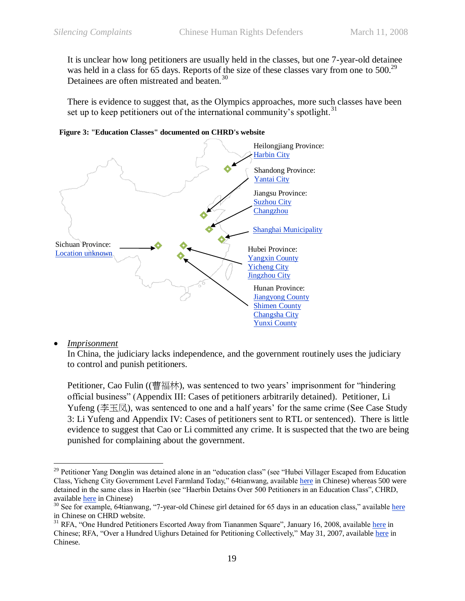It is unclear how long petitioners are usually held in the classes, but one 7-year-old detainee was held in a class for 65 days. Reports of the size of these classes vary from one to 500.<sup>29</sup> Detainees are often mistreated and beaten.<sup>30</sup>

There is evidence to suggest that, as the Olympics approaches, more such classes have been set up to keep petitioners out of the international community's spotlight.<sup>31</sup>



<span id="page-18-0"></span>**Figure 3: "Education Classes" documented on CHRD's website**

#### *Imprisonment*

 $\overline{a}$ 

In China, the judiciary lacks independence, and the government routinely uses the judiciary to control and punish petitioners.

Petitioner, Cao Fulin ((曹福林), was sentenced to two years' imprisonment for "hindering official business‖ [\(Appendix III: Cases of petitioners arbitrarily detained\)](#page-40-0). Petitioner, Li Yufeng ( $\cong \pm \boxtimes$ ), was sentenced to one and a half years' for the same crime (See Case Study [3: Li Yufeng](#page-19-3) and [Appendix IV: Cases of petitioners sent to RTL or](#page-44-0) sentenced). There is little evidence to suggest that Cao or Li committed any crime. It is suspected that the two are being punished for complaining about the government.

<sup>&</sup>lt;sup>29</sup> Petitioner Yang Donglin was detained alone in an "education class" (see "Hubei Villager Escaped from Education Class, Yicheng City Government Level Farmland Today," 64tianwang, available [here](http://www.crd-net.org/Article/Class53/200706/20070602103506_4530.html) in Chinese) whereas 500 were detained in the same class in Haerbin (see "Haerbin Detains Over 500 Petitioners in an Education Class", CHRD, available [here](http://www.crd-net.org/Article/Class53/200708/20070825222317_5441.html) in Chinese)

 $30$  See for example, 64tianwang, "7-year-old Chinese girl detained for 65 days in an education class," available [here](http://www.crd-net.org/Article/Class53/200701/20070108110148_3054.html) in Chinese on CHRD website.

 $31$  RFA, "One Hundred Petitioners Escorted Away from Tiananmen Square", January 16, 2008, availabl[e here](http://www.crd-net.org/Article/fmzj/200801/20080116110724_7141.html) in Chinese; RFA, "Over a Hundred Uighurs Detained for Petitioning Collectively," May 31, 2007, available [here](http://www.crd-net.org/Article/Class53/200705/20070531092157_4494.html) in Chinese.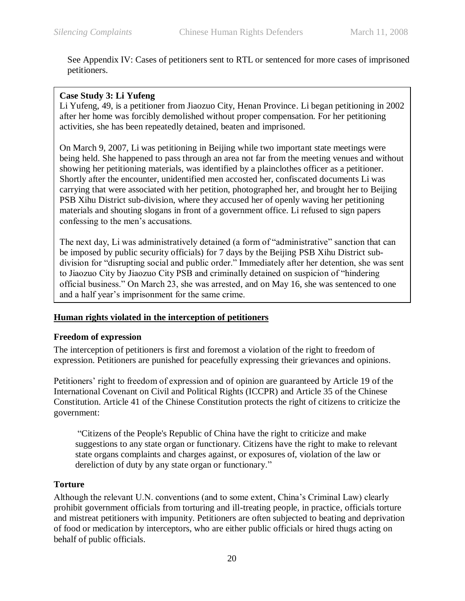See [Appendix IV: Cases of petitioners sent to RTL or](#page-44-0) sentenced for more cases of imprisoned petitioners.

## <span id="page-19-3"></span>**Case Study 3: Li Yufeng**

Li Yufeng, 49, is a petitioner from Jiaozuo City, Henan Province. Li began petitioning in 2002 after her home was forcibly demolished without proper compensation. For her petitioning activities, she has been repeatedly detained, beaten and imprisoned.

On March 9, 2007, Li was petitioning in Beijing while two important state meetings were being held. She happened to pass through an area not far from the meeting venues and without showing her petitioning materials, was identified by a plainclothes officer as a petitioner. Shortly after the encounter, unidentified men accosted her, confiscated documents Li was carrying that were associated with her petition, photographed her, and brought her to Beijing PSB Xihu District sub-division, where they accused her of openly waving her petitioning materials and shouting slogans in front of a government office. Li refused to sign papers confessing to the men's accusations.

The next day, Li was administratively detained (a form of "administrative" sanction that can be imposed by public security officials) for 7 days by the Beijing PSB Xihu District subdivision for "disrupting social and public order." Immediately after her detention, she was sent to Jiaozuo City by Jiaozuo City PSB and criminally detained on suspicion of "hindering" official business.‖ On March 23, she was arrested, and on May 16, she was sentenced to one and a half year's imprisonment for the same crime.

#### <span id="page-19-0"></span>**Human rights violated in the interception of petitioners**

#### <span id="page-19-1"></span>**Freedom of expression**

The interception of petitioners is first and foremost a violation of the right to freedom of expression. Petitioners are punished for peacefully expressing their grievances and opinions.

Petitioners' right to freedom of expression and of opinion are guaranteed by Article 19 of the International Covenant on Civil and Political Rights (ICCPR) and Article 35 of the Chinese Constitution. Article 41 of the Chinese Constitution protects the right of citizens to criticize the government:

―Citizens of the People's Republic of China have the right to criticize and make suggestions to any state organ or functionary. Citizens have the right to make to relevant state organs complaints and charges against, or exposures of, violation of the law or dereliction of duty by any state organ or functionary."

#### <span id="page-19-2"></span>**Torture**

Although the relevant U.N. conventions (and to some extent, China's Criminal Law) clearly prohibit government officials from torturing and ill-treating people, in practice, officials torture and mistreat petitioners with impunity. Petitioners are often subjected to beating and deprivation of food or medication by interceptors, who are either public officials or hired thugs acting on behalf of public officials.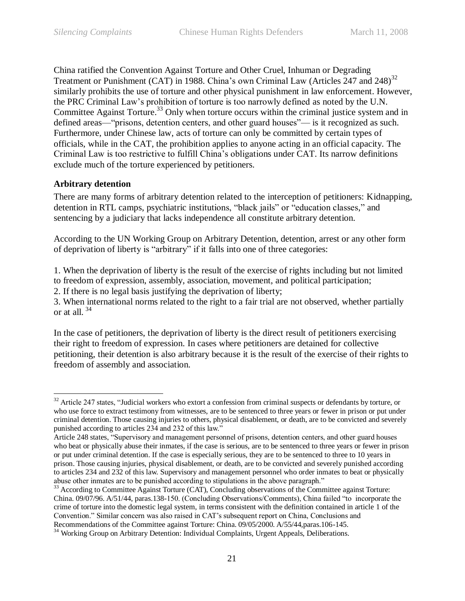China ratified the Convention Against Torture and Other Cruel, Inhuman or Degrading Treatment or Punishment (CAT) in 1988. China's own Criminal Law (Articles 247 and 248)<sup>32</sup> similarly prohibits the use of torture and other physical punishment in law enforcement. However, the PRC Criminal Law's prohibition of torture is too narrowly defined as noted by the U.N. Committee Against Torture.<sup>33</sup> Only when torture occurs within the criminal justice system and in defined areas—"prisons, detention centers, and other guard houses"— is it recognized as such. Furthermore, under Chinese law, acts of torture can only be committed by certain types of officials, while in the CAT, the prohibition applies to anyone acting in an official capacity. The Criminal Law is too restrictive to fulfill China's obligations under CAT. Its narrow definitions exclude much of the torture experienced by petitioners.

#### <span id="page-20-0"></span>**Arbitrary detention**

 $\overline{a}$ 

There are many forms of arbitrary detention related to the interception of petitioners: Kidnapping, detention in RTL camps, psychiatric institutions, "black jails" or "education classes," and sentencing by a judiciary that lacks independence all constitute arbitrary detention.

According to the UN Working Group on Arbitrary Detention, detention, arrest or any other form of deprivation of liberty is "arbitrary" if it falls into one of three categories:

1. When the deprivation of liberty is the result of the exercise of rights including but not limited to freedom of expression, assembly, association, movement, and political participation;

2. If there is no legal basis justifying the deprivation of liberty;

3. When international norms related to the right to a fair trial are not observed, whether partially or at all. 34

In the case of petitioners, the deprivation of liberty is the direct result of petitioners exercising their right to freedom of expression. In cases where petitioners are detained for collective petitioning, their detention is also arbitrary because it is the result of the exercise of their rights to freedom of assembly and association.

 $32$  Article 247 states, "Judicial workers who extort a confession from criminal suspects or defendants by torture, or who use force to extract testimony from witnesses, are to be sentenced to three years or fewer in prison or put under criminal detention. Those causing injuries to others, physical disablement, or death, are to be convicted and severely punished according to articles 234 and 232 of this law."

Article 248 states, "Supervisory and management personnel of prisons, detention centers, and other guard houses who beat or physically abuse their inmates, if the case is serious, are to be sentenced to three years or fewer in prison or put under criminal detention. If the case is especially serious, they are to be sentenced to three to 10 years in prison. Those causing injuries, physical disablement, or death, are to be convicted and severely punished according to articles 234 and 232 of this law. Supervisory and management personnel who order inmates to beat or physically abuse other inmates are to be punished according to stipulations in the above paragraph."

<sup>&</sup>lt;sup>33</sup> According to Committee Against Torture (CAT), Concluding observations of the Committee against Torture: China. 09/07/96. A/51/44, paras.138-150. (Concluding Observations/Comments), China failed "to incorporate the crime of torture into the domestic legal system, in terms consistent with the definition contained in article 1 of the Convention.‖ Similar concern was also raised in CAT's subsequent report on China, Conclusions and Recommendations of the Committee against Torture: China. 09/05/2000. A/55/44,paras.106-145.

<sup>&</sup>lt;sup>34</sup> Working Group on Arbitrary Detention: Individual Complaints, Urgent Appeals, Deliberations.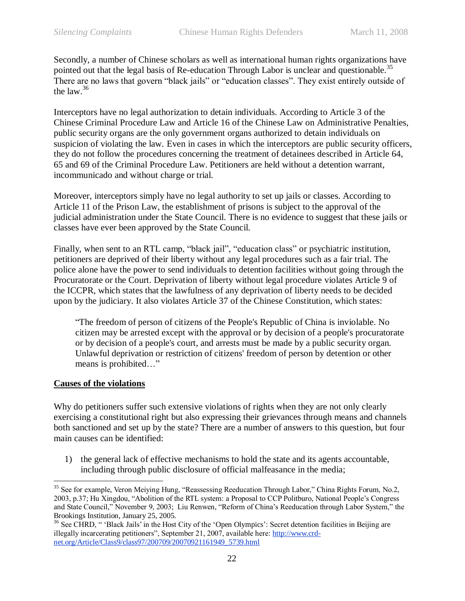Secondly, a number of Chinese scholars as well as international human rights organizations have pointed out that the legal basis of Re-education Through Labor is unclear and questionable.<sup>35</sup> There are no laws that govern "black jails" or "education classes". They exist entirely outside of the law.<sup>36</sup>

Interceptors have no legal authorization to detain individuals. According to Article 3 of the Chinese Criminal Procedure Law and Article 16 of the Chinese Law on Administrative Penalties, public security organs are the only government organs authorized to detain individuals on suspicion of violating the law. Even in cases in which the interceptors are public security officers, they do not follow the procedures concerning the treatment of detainees described in Article 64, 65 and 69 of the Criminal Procedure Law. Petitioners are held without a detention warrant, incommunicado and without charge or trial.

Moreover, interceptors simply have no legal authority to set up jails or classes. According to Article 11 of the Prison Law, the establishment of prisons is subject to the approval of the judicial administration under the State Council. There is no evidence to suggest that these jails or classes have ever been approved by the State Council.

Finally, when sent to an RTL camp, "black jail", "education class" or psychiatric institution, petitioners are deprived of their liberty without any legal procedures such as a fair trial. The police alone have the power to send individuals to detention facilities without going through the Procuratorate or the Court. Deprivation of liberty without legal procedure violates Article 9 of the ICCPR, which states that the lawfulness of any deprivation of liberty needs to be decided upon by the judiciary. It also violates Article 37 of the Chinese Constitution, which states:

―The freedom of person of citizens of the People's Republic of China is inviolable. No citizen may be arrested except with the approval or by decision of a people's procuratorate or by decision of a people's court, and arrests must be made by a public security organ. Unlawful deprivation or restriction of citizens' freedom of person by detention or other means is prohibited..."

#### <span id="page-21-0"></span>**Causes of the violations**

 $\overline{a}$ 

Why do petitioners suffer such extensive violations of rights when they are not only clearly exercising a constitutional right but also expressing their grievances through means and channels both sanctioned and set up by the state? There are a number of answers to this question, but four main causes can be identified:

1) the general lack of effective mechanisms to hold the state and its agents accountable, including through public disclosure of official malfeasance in the media;

<sup>&</sup>lt;sup>35</sup> See for example, Veron Meiying Hung, "Reassessing Reeducation Through Labor," China Rights Forum, No.2, 2003, p.37; Hu Xingdou, "Abolition of the RTL system: a Proposal to CCP Politburo, National People's Congress and State Council," November 9, 2003; Liu Renwen, "Reform of China's Reeducation through Labor System," the Brookings Institution, January 25, 2005.

<sup>&</sup>lt;sup>36</sup> See CHRD, " 'Black Jails' in the Host City of the 'Open Olympics': Secret detention facilities in Beijing are illegally incarcerating petitioners", September 21, 2007, available here: [http://www.crd](http://www.crd-net.org/Article/Class9/class97/200709/20070921161949_5739.html)[net.org/Article/Class9/class97/200709/20070921161949\\_5739.html](http://www.crd-net.org/Article/Class9/class97/200709/20070921161949_5739.html)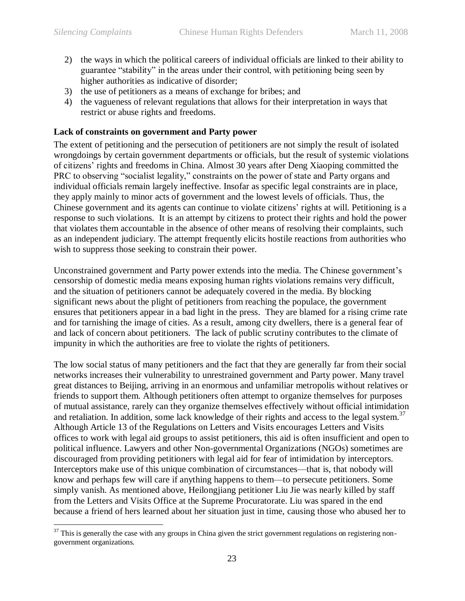- 2) the ways in which the political careers of individual officials are linked to their ability to guarantee "stability" in the areas under their control, with petitioning being seen by higher authorities as indicative of disorder;
- 3) the use of petitioners as a means of exchange for bribes; and
- 4) the vagueness of relevant regulations that allows for their interpretation in ways that restrict or abuse rights and freedoms.

#### <span id="page-22-0"></span>**Lack of constraints on government and Party power**

The extent of petitioning and the persecution of petitioners are not simply the result of isolated wrongdoings by certain government departments or officials, but the result of systemic violations of citizens' rights and freedoms in China. Almost 30 years after Deng Xiaoping committed the PRC to observing "socialist legality," constraints on the power of state and Party organs and individual officials remain largely ineffective. Insofar as specific legal constraints are in place, they apply mainly to minor acts of government and the lowest levels of officials. Thus, the Chinese government and its agents can continue to violate citizens' rights at will. Petitioning is a response to such violations. It is an attempt by citizens to protect their rights and hold the power that violates them accountable in the absence of other means of resolving their complaints, such as an independent judiciary. The attempt frequently elicits hostile reactions from authorities who wish to suppress those seeking to constrain their power.

Unconstrained government and Party power extends into the media. The Chinese government's censorship of domestic media means exposing human rights violations remains very difficult, and the situation of petitioners cannot be adequately covered in the media. By blocking significant news about the plight of petitioners from reaching the populace, the government ensures that petitioners appear in a bad light in the press. They are blamed for a rising crime rate and for tarnishing the image of cities. As a result, among city dwellers, there is a general fear of and lack of concern about petitioners. The lack of public scrutiny contributes to the climate of impunity in which the authorities are free to violate the rights of petitioners.

The low social status of many petitioners and the fact that they are generally far from their social networks increases their vulnerability to unrestrained government and Party power. Many travel great distances to Beijing, arriving in an enormous and unfamiliar metropolis without relatives or friends to support them. Although petitioners often attempt to organize themselves for purposes of mutual assistance, rarely can they organize themselves effectively without official intimidation and retaliation. In addition, some lack knowledge of their rights and access to the legal system.<sup>37</sup> Although Article 13 of the Regulations on Letters and Visits encourages Letters and Visits offices to work with legal aid groups to assist petitioners, this aid is often insufficient and open to political influence. Lawyers and other Non-governmental Organizations (NGOs) sometimes are discouraged from providing petitioners with legal aid for fear of intimidation by interceptors. Interceptors make use of this unique combination of circumstances—that is, that nobody will know and perhaps few will care if anything happens to them—to persecute petitioners. Some simply vanish. As mentioned above, Heilongjiang petitioner Liu Jie was nearly killed by staff from the Letters and Visits Office at the Supreme Procuratorate. Liu was spared in the end because a friend of hers learned about her situation just in time, causing those who abused her to

 $\overline{a}$  $37$  This is generally the case with any groups in China given the strict government regulations on registering nongovernment organizations.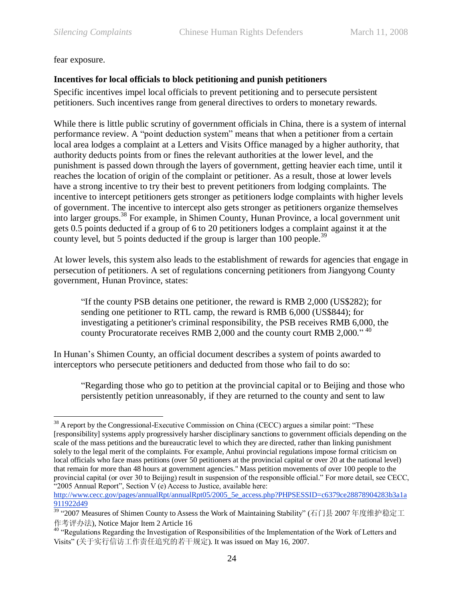#### fear exposure.

## <span id="page-23-0"></span>**Incentives for local officials to block petitioning and punish petitioners**

Specific incentives impel local officials to prevent petitioning and to persecute persistent petitioners. Such incentives range from general directives to orders to monetary rewards.

While there is little public scrutiny of government officials in China, there is a system of internal performance review. A "point deduction system" means that when a petitioner from a certain local area lodges a complaint at a Letters and Visits Office managed by a higher authority, that authority deducts points from or fines the relevant authorities at the lower level, and the punishment is passed down through the layers of government, getting heavier each time, until it reaches the location of origin of the complaint or petitioner. As a result, those at lower levels have a strong incentive to try their best to prevent petitioners from lodging complaints. The incentive to intercept petitioners gets stronger as petitioners lodge complaints with higher levels of government. The incentive to intercept also gets stronger as petitioners organize themselves into larger groups. <sup>38</sup> For example, in Shimen County, Hunan Province, a local government unit gets 0.5 points deducted if a group of 6 to 20 petitioners lodges a complaint against it at the county level, but 5 points deducted if the group is larger than 100 people.<sup>39</sup>

At lower levels, this system also leads to the establishment of rewards for agencies that engage in persecution of petitioners. A set of regulations concerning petitioners from Jiangyong County government, Hunan Province, states:

―If the county PSB detains one petitioner, the reward is RMB 2,000 (US\$282); for sending one petitioner to RTL camp, the reward is RMB 6,000 (US\$844); for investigating a petitioner's criminal responsibility, the PSB receives RMB 6,000, the county Procuratorate receives RMB 2,000 and the county court RMB 2,000."  $40$ 

In Hunan's Shimen County, an official document describes a system of points awarded to interceptors who persecute petitioners and deducted from those who fail to do so:

"Regarding those who go to petition at the provincial capital or to Beijing and those who persistently petition unreasonably, if they are returned to the county and sent to law

[http://www.cecc.gov/pages/annualRpt/annualRpt05/2005\\_5e\\_access.php?PHPSESSID=c6379ce28878904283b3a1a](http://www.cecc.gov/pages/annualRpt/annualRpt05/2005_5e_access.php?PHPSESSID=c6379ce28878904283b3a1a911922d49) [911922d49](http://www.cecc.gov/pages/annualRpt/annualRpt05/2005_5e_access.php?PHPSESSID=c6379ce28878904283b3a1a911922d49)

 $\overline{a}$  $38$  A report by the Congressional-Executive Commission on China (CECC) argues a similar point: "These [responsibility] systems apply progressively harsher disciplinary sanctions to government officials depending on the scale of the mass petitions and the bureaucratic level to which they are directed, rather than linking punishment solely to the legal merit of the complaints. For example, Anhui provincial regulations impose formal criticism on local officials who face mass petitions (over 50 petitioners at the provincial capital or over 20 at the national level) that remain for more than 48 hours at government agencies." Mass petition movements of over 100 people to the provincial capital (or over 30 to Beijing) result in suspension of the responsible official." For more detail, see CECC, "2005 Annual Report", Section V (e) Access to Justice, available here:

<sup>&</sup>lt;sup>39</sup> "2007 Measures of Shimen County to Assess the Work of Maintaining Stability" (石门县 2007 年度维护稳定工 作考评办法), Notice Major Item 2 Article 16

<sup>&</sup>lt;sup>40</sup> "Regulations Regarding the Investigation of Responsibilities of the Implementation of the Work of Letters and Visits" (关于实行信访工作责任追究的若干规定). It was issued on May 16, 2007.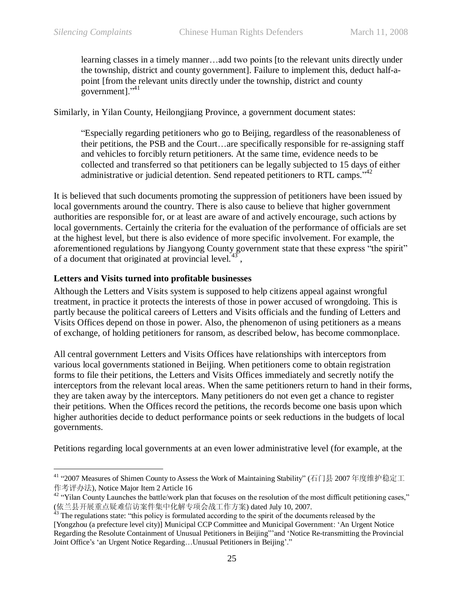$\overline{a}$ 

learning classes in a timely manner…add two points [to the relevant units directly under the township, district and county government]. Failure to implement this, deduct half-apoint [from the relevant units directly under the township, district and county government]. $^{341}$ 

Similarly, in Yilan County, Heilongjiang Province, a government document states:

―Especially regarding petitioners who go to Beijing, regardless of the reasonableness of their petitions, the PSB and the Court…are specifically responsible for re-assigning staff and vehicles to forcibly return petitioners. At the same time, evidence needs to be collected and transferred so that petitioners can be legally subjected to 15 days of either administrative or judicial detention. Send repeated petitioners to RTL camps.<sup>742</sup>

It is believed that such documents promoting the suppression of petitioners have been issued by local governments around the country. There is also cause to believe that higher government authorities are responsible for, or at least are aware of and actively encourage, such actions by local governments. Certainly the criteria for the evaluation of the performance of officials are set at the highest level, but there is also evidence of more specific involvement. For example, the aforementioned regulations by Jiangyong County government state that these express "the spirit" of a document that originated at provincial level. $43^{\circ}$ ,

#### <span id="page-24-0"></span>**Letters and Visits turned into profitable businesses**

Although the Letters and Visits system is supposed to help citizens appeal against wrongful treatment, in practice it protects the interests of those in power accused of wrongdoing. This is partly because the political careers of Letters and Visits officials and the funding of Letters and Visits Offices depend on those in power. Also, the phenomenon of using petitioners as a means of exchange, of holding petitioners for ransom, as described below, has become commonplace.

All central government Letters and Visits Offices have relationships with interceptors from various local governments stationed in Beijing. When petitioners come to obtain registration forms to file their petitions, the Letters and Visits Offices immediately and secretly notify the interceptors from the relevant local areas. When the same petitioners return to hand in their forms, they are taken away by the interceptors. Many petitioners do not even get a chance to register their petitions. When the Offices record the petitions, the records become one basis upon which higher authorities decide to deduct performance points or seek reductions in the budgets of local governments.

Petitions regarding local governments at an even lower administrative level (for example, at the

<sup>&</sup>lt;sup>41</sup> "2007 Measures of Shimen County to Assess the Work of Maintaining Stability" (石门县 2007 年度维护稳定工 作考评办法), Notice Major Item 2 Article 16

<sup>&</sup>lt;sup>42</sup> "Yilan County Launches the battle/work plan that focuses on the resolution of the most difficult petitioning cases," (依兰县开展重点疑难信访案件集中化解专项会战工作方案) dated July 10, 2007.

<sup>&</sup>lt;sup>43</sup> The regulations state: "this policy is formulated according to the spirit of the documents released by the [Yongzhou (a prefecture level city)] Municipal CCP Committee and Municipal Government: ‗An Urgent Notice Regarding the Resolute Containment of Unusual Petitioners in Beijing"' and 'Notice Re-transmitting the Provincial Joint Office's 'an Urgent Notice Regarding...Unusual Petitioners in Beijing'."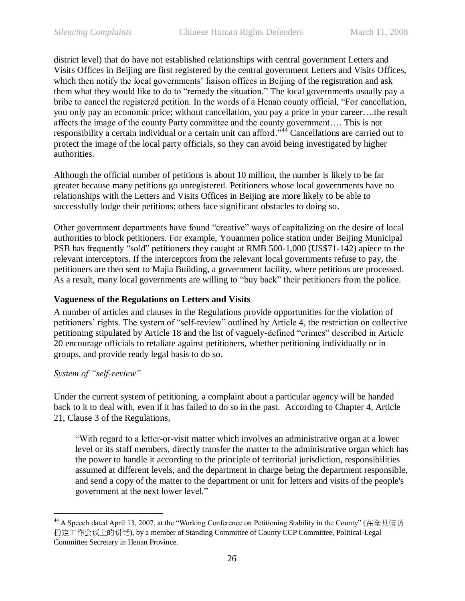district level) that do have not established relationships with central government Letters and Visits Offices in Beijing are first registered by the central government Letters and Visits Offices, which then notify the local governments' liaison offices in Beijing of the registration and ask them what they would like to do to "remedy the situation." The local governments usually pay a bribe to cancel the registered petition. In the words of a Henan county official, "For cancellation, you only pay an economic price; without cancellation, you pay a price in your career….the result affects the image of the county Party committee and the county government…. This is not responsibility a certain individual or a certain unit can afford.<sup>544</sup> Cancellations are carried out to protect the image of the local party officials, so they can avoid being investigated by higher authorities.

Although the official number of petitions is about 10 million, the number is likely to be far greater because many petitions go unregistered. Petitioners whose local governments have no relationships with the Letters and Visits Offices in Beijing are more likely to be able to successfully lodge their petitions; others face significant obstacles to doing so.

Other government departments have found "creative" ways of capitalizing on the desire of local authorities to block petitioners. For example, Youanmen police station under Beijing Municipal PSB has frequently "sold" petitioners they caught at RMB 500-1,000 (US\$71-142) apiece to the relevant interceptors. If the interceptors from the relevant local governments refuse to pay, the petitioners are then sent to Majia Building, a government facility, where petitions are processed. As a result, many local governments are willing to "buy back" their petitioners from the police.

#### <span id="page-25-0"></span>**Vagueness of the Regulations on Letters and Visits**

A number of articles and clauses in the Regulations provide opportunities for the violation of petitioners' rights. The system of "self-review" outlined by Article 4, the restriction on collective petitioning stipulated by Article 18 and the list of vaguely-defined "crimes" described in Article 20 encourage officials to retaliate against petitioners, whether petitioning individually or in groups, and provide ready legal basis to do so.

#### <span id="page-25-1"></span>*System of "self-review"*

 $\overline{a}$ 

Under the current system of petitioning, a complaint about a particular agency will be handed back to it to deal with, even if it has failed to do so in the past. According to Chapter 4, Article 21, Clause 3 of the Regulations,

―With regard to a letter-or-visit matter which involves an administrative organ at a lower level or its staff members, directly transfer the matter to the administrative organ which has the power to handle it according to the principle of territorial jurisdiction, responsibilities assumed at different levels, and the department in charge being the department responsible, and send a copy of the matter to the department or unit for letters and visits of the people's government at the next lower level."

<sup>&</sup>lt;sup>44</sup> A Speech dated April 13, 2007, at the "Working Conference on Petitioning Stability in the County" (在全县信访 稳定工作会议上的讲话), by a member of Standing Committee of County CCP Committee, Political-Legal Committee Secretary in Henan Province.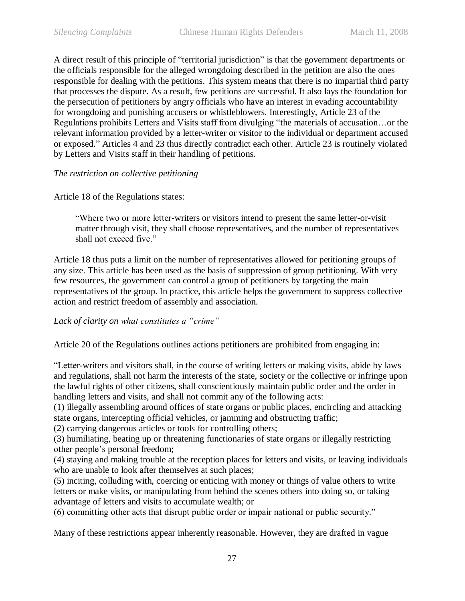A direct result of this principle of "territorial jurisdiction" is that the government departments or the officials responsible for the alleged wrongdoing described in the petition are also the ones responsible for dealing with the petitions. This system means that there is no impartial third party that processes the dispute. As a result, few petitions are successful. It also lays the foundation for the persecution of petitioners by angry officials who have an interest in evading accountability for wrongdoing and punishing accusers or whistleblowers. Interestingly, Article 23 of the Regulations prohibits Letters and Visits staff from divulging "the materials of accusation...or the relevant information provided by a letter-writer or visitor to the individual or department accused or exposed." Articles 4 and 23 thus directly contradict each other. Article 23 is routinely violated by Letters and Visits staff in their handling of petitions.

#### <span id="page-26-0"></span>*The restriction on collective petitioning*

Article 18 of the Regulations states:

―Where two or more letter-writers or visitors intend to present the same letter-or-visit matter through visit, they shall choose representatives, and the number of representatives shall not exceed five."

Article 18 thus puts a limit on the number of representatives allowed for petitioning groups of any size. This article has been used as the basis of suppression of group petitioning. With very few resources, the government can control a group of petitioners by targeting the main representatives of the group. In practice, this article helps the government to suppress collective action and restrict freedom of assembly and association.

#### <span id="page-26-1"></span>*Lack of clarity on what constitutes a "crime"*

Article 20 of the Regulations outlines actions petitioners are prohibited from engaging in:

―Letter-writers and visitors shall, in the course of writing letters or making visits, abide by laws and regulations, shall not harm the interests of the state, society or the collective or infringe upon the lawful rights of other citizens, shall conscientiously maintain public order and the order in handling letters and visits, and shall not commit any of the following acts:

(1) illegally assembling around offices of state organs or public places, encircling and attacking state organs, intercepting official vehicles, or jamming and obstructing traffic;

(2) carrying dangerous articles or tools for controlling others;

(3) humiliating, beating up or threatening functionaries of state organs or illegally restricting other people's personal freedom;

(4) staying and making trouble at the reception places for letters and visits, or leaving individuals who are unable to look after themselves at such places;

(5) inciting, colluding with, coercing or enticing with money or things of value others to write letters or make visits, or manipulating from behind the scenes others into doing so, or taking advantage of letters and visits to accumulate wealth; or

(6) committing other acts that disrupt public order or impair national or public security."

Many of these restrictions appear inherently reasonable. However, they are drafted in vague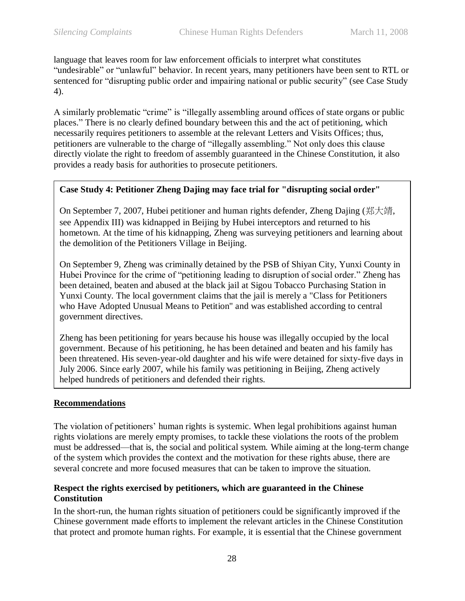language that leaves room for law enforcement officials to interpret what constitutes "undesirable" or "unlawful" behavior. In recent years, many petitioners have been sent to RTL or sentenced for "disrupting public order and impairing national or public security" (see Case Study [4\)](#page-27-2).

A similarly problematic "crime" is "illegally assembling around offices of state organs or public places.‖ There is no clearly defined boundary between this and the act of petitioning, which necessarily requires petitioners to assemble at the relevant Letters and Visits Offices; thus, petitioners are vulnerable to the charge of "illegally assembling." Not only does this clause directly violate the right to freedom of assembly guaranteed in the Chinese Constitution, it also provides a ready basis for authorities to prosecute petitioners.

## <span id="page-27-2"></span>**Case Study 4: Petitioner Zheng Dajing may face trial for "disrupting social order"**

On September 7, 2007, Hubei petitioner and human rights defender, Zheng Dajing (郑大靖, see Appendix III) was kidnapped in Beijing by Hubei interceptors and returned to his hometown. At the time of his kidnapping, Zheng was surveying petitioners and learning about the demolition of the Petitioners Village in Beijing.

On September 9, Zheng was criminally detained by the PSB of Shiyan City, Yunxi County in Hubei Province for the crime of "petitioning leading to disruption of social order." Zheng has been detained, beaten and abused at the black jail at Sigou Tobacco Purchasing Station in Yunxi County. The local government claims that the jail is merely a "Class for Petitioners who Have Adopted Unusual Means to Petition" and was established according to central government directives.

Zheng has been petitioning for years because his house was illegally occupied by the local government. Because of his petitioning, he has been detained and beaten and his family has been threatened. His seven-year-old daughter and his wife were detained for sixty-five days in July 2006. Since early 2007, while his family was petitioning in Beijing, Zheng actively helped hundreds of petitioners and defended their rights.

## <span id="page-27-0"></span>**Recommendations**

The violation of petitioners' human rights is systemic. When legal prohibitions against human rights violations are merely empty promises, to tackle these violations the roots of the problem must be addressed—that is, the social and political system. While aiming at the long-term change of the system which provides the context and the motivation for these rights abuse, there are several concrete and more focused measures that can be taken to improve the situation.

## <span id="page-27-1"></span>**Respect the rights exercised by petitioners, which are guaranteed in the Chinese Constitution**

In the short-run, the human rights situation of petitioners could be significantly improved if the Chinese government made efforts to implement the relevant articles in the Chinese Constitution that protect and promote human rights. For example, it is essential that the Chinese government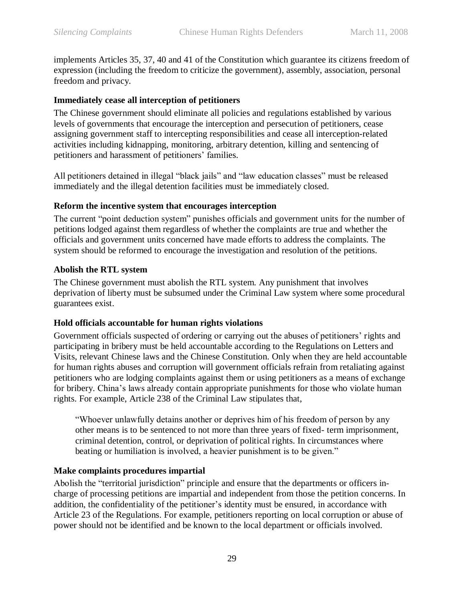implements Articles 35, 37, 40 and 41 of the Constitution which guarantee its citizens freedom of expression (including the freedom to criticize the government), assembly, association, personal freedom and privacy.

#### <span id="page-28-0"></span>**Immediately cease all interception of petitioners**

The Chinese government should eliminate all policies and regulations established by various levels of governments that encourage the interception and persecution of petitioners, cease assigning government staff to intercepting responsibilities and cease all interception-related activities including kidnapping, monitoring, arbitrary detention, killing and sentencing of petitioners and harassment of petitioners' families.

All petitioners detained in illegal "black jails" and "law education classes" must be released immediately and the illegal detention facilities must be immediately closed.

#### <span id="page-28-1"></span>**Reform the incentive system that encourages interception**

The current "point deduction system" punishes officials and government units for the number of petitions lodged against them regardless of whether the complaints are true and whether the officials and government units concerned have made efforts to address the complaints. The system should be reformed to encourage the investigation and resolution of the petitions.

#### <span id="page-28-2"></span>**Abolish the RTL system**

The Chinese government must abolish the RTL system. Any punishment that involves deprivation of liberty must be subsumed under the Criminal Law system where some procedural guarantees exist.

## <span id="page-28-3"></span>**Hold officials accountable for human rights violations**

Government officials suspected of ordering or carrying out the abuses of petitioners' rights and participating in bribery must be held accountable according to the Regulations on Letters and Visits, relevant Chinese laws and the Chinese Constitution. Only when they are held accountable for human rights abuses and corruption will government officials refrain from retaliating against petitioners who are lodging complaints against them or using petitioners as a means of exchange for bribery. China's laws already contain appropriate punishments for those who violate human rights. For example, Article 238 of the Criminal Law stipulates that,

―Whoever unlawfully detains another or deprives him of his freedom of person by any other means is to be sentenced to not more than three years of fixed- term imprisonment, criminal detention, control, or deprivation of political rights. In circumstances where beating or humiliation is involved, a heavier punishment is to be given."

## <span id="page-28-4"></span>**Make complaints procedures impartial**

Abolish the "territorial jurisdiction" principle and ensure that the departments or officers incharge of processing petitions are impartial and independent from those the petition concerns. In addition, the confidentiality of the petitioner's identity must be ensured, in accordance with Article 23 of the Regulations. For example, petitioners reporting on local corruption or abuse of power should not be identified and be known to the local department or officials involved.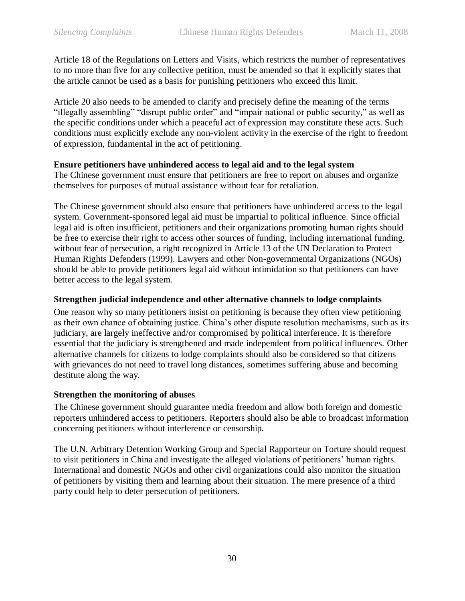Article 18 of the Regulations on Letters and Visits, which restricts the number of representatives to no more than five for any collective petition, must be amended so that it explicitly states that the article cannot be used as a basis for punishing petitioners who exceed this limit.

Article 20 also needs to be amended to clarify and precisely define the meaning of the terms "illegally assembling" "disrupt public order" and "impair national or public security," as well as the specific conditions under which a peaceful act of expression may constitute these acts. Such conditions must explicitly exclude any non-violent activity in the exercise of the right to freedom of expression, fundamental in the act of petitioning.

#### <span id="page-29-0"></span>**Ensure petitioners have unhindered access to legal aid and to the legal system**

The Chinese government must ensure that petitioners are free to report on abuses and organize themselves for purposes of mutual assistance without fear for retaliation.

The Chinese government should also ensure that petitioners have unhindered access to the legal system. Government-sponsored legal aid must be impartial to political influence. Since official legal aid is often insufficient, petitioners and their organizations promoting human rights should be free to exercise their right to access other sources of funding, including international funding, without fear of persecution, a right recognized in Article 13 of the UN Declaration to Protect Human Rights Defenders (1999). Lawyers and other Non-governmental Organizations (NGOs) should be able to provide petitioners legal aid without intimidation so that petitioners can have better access to the legal system.

#### <span id="page-29-1"></span>**Strengthen judicial independence and other alternative channels to lodge complaints**

One reason why so many petitioners insist on petitioning is because they often view petitioning as their own chance of obtaining justice. China's other dispute resolution mechanisms, such as its judiciary, are largely ineffective and/or compromised by political interference. It is therefore essential that the judiciary is strengthened and made independent from political influences. Other alternative channels for citizens to lodge complaints should also be considered so that citizens with grievances do not need to travel long distances, sometimes suffering abuse and becoming destitute along the way.

## <span id="page-29-2"></span>**Strengthen the monitoring of abuses**

The Chinese government should guarantee media freedom and allow both foreign and domestic reporters unhindered access to petitioners. Reporters should also be able to broadcast information concerning petitioners without interference or censorship.

The U.N. Arbitrary Detention Working Group and Special Rapporteur on Torture should request to visit petitioners in China and investigate the alleged violations of petitioners' human rights. International and domestic NGOs and other civil organizations could also monitor the situation of petitioners by visiting them and learning about their situation. The mere presence of a third party could help to deter persecution of petitioners.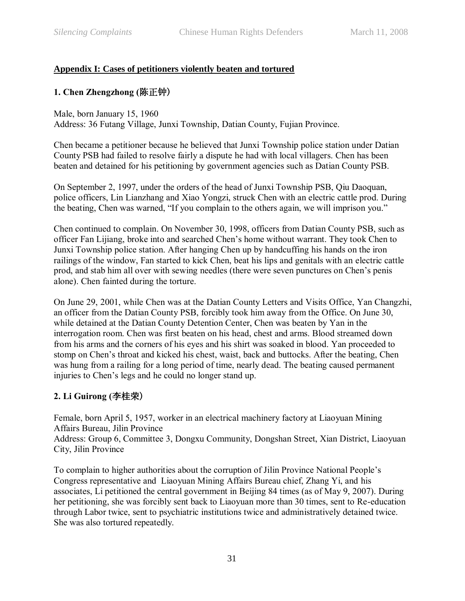## <span id="page-30-0"></span>**Appendix I: Cases of petitioners violently beaten and tortured**

## **1. Chen Zhengzhong (**陈正钟)

Male, born January 15, 1960

Address: 36 Futang Village, Junxi Township, Datian County, Fujian Province.

Chen became a petitioner because he believed that Junxi Township police station under Datian County PSB had failed to resolve fairly a dispute he had with local villagers. Chen has been beaten and detained for his petitioning by government agencies such as Datian County PSB.

On September 2, 1997, under the orders of the head of Junxi Township PSB, Qiu Daoquan, police officers, Lin Lianzhang and Xiao Yongzi, struck Chen with an electric cattle prod. During the beating, Chen was warned, "If you complain to the others again, we will imprison you."

Chen continued to complain. On November 30, 1998, officers from Datian County PSB, such as officer Fan Lijiang, broke into and searched Chen's home without warrant. They took Chen to Junxi Township police station. After hanging Chen up by handcuffing his hands on the iron railings of the window, Fan started to kick Chen, beat his lips and genitals with an electric cattle prod, and stab him all over with sewing needles (there were seven punctures on Chen's penis alone). Chen fainted during the torture.

On June 29, 2001, while Chen was at the Datian County Letters and Visits Office, Yan Changzhi, an officer from the Datian County PSB, forcibly took him away from the Office. On June 30, while detained at the Datian County Detention Center, Chen was beaten by Yan in the interrogation room. Chen was first beaten on his head, chest and arms. Blood streamed down from his arms and the corners of his eyes and his shirt was soaked in blood. Yan proceeded to stomp on Chen's throat and kicked his chest, waist, back and buttocks. After the beating, Chen was hung from a railing for a long period of time, nearly dead. The beating caused permanent injuries to Chen's legs and he could no longer stand up.

## **2. Li Guirong (**李桂荣)

Female, born April 5, 1957, worker in an electrical machinery factory at Liaoyuan Mining Affairs Bureau, Jilin Province Address: Group 6, Committee 3, Dongxu Community, Dongshan Street, Xian District, Liaoyuan City, Jilin Province

To complain to higher authorities about the corruption of Jilin Province National People's Congress representative and Liaoyuan Mining Affairs Bureau chief, Zhang Yi, and his associates, Li petitioned the central government in Beijing 84 times (as of May 9, 2007). During her petitioning, she was forcibly sent back to Liaoyuan more than 30 times, sent to Re-education through Labor twice, sent to psychiatric institutions twice and administratively detained twice. She was also tortured repeatedly.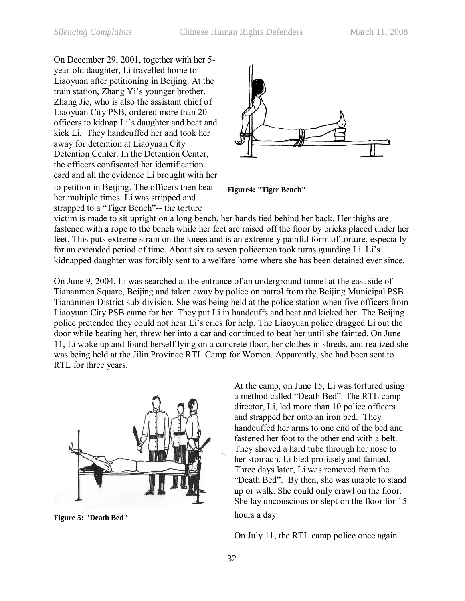On December 29, 2001, together with her 5 year-old daughter, Li travelled home to Liaoyuan after petitioning in Beijing. At the train station, Zhang Yi's younger brother, Zhang Jie, who is also the assistant chief of Liaoyuan City PSB, ordered more than 20 officers to kidnap Li's daughter and beat and kick Li. They handcuffed her and took her away for detention at Liaoyuan City Detention Center. In the Detention Center, the officers confiscated her identification card and all the evidence Li brought with her to petition in Beijing. The officers then beat her multiple times. Li was stripped and strapped to a "Tiger Bench"-- the torture



**Figure4: "Tiger Bench"**

victim is made to sit upright on a long bench, her hands tied behind her back. Her thighs are fastened with a rope to the bench while her feet are raised off the floor by bricks placed under her feet. This puts extreme strain on the knees and is an extremely painful form of torture, especially for an extended period of time. About six to seven policemen took turns guarding Li. Li's kidnapped daughter was forcibly sent to a welfare home where she has been detained ever since.

On June 9, 2004, Li was searched at the entrance of an underground tunnel at the east side of Tiananmen Square, Beijing and taken away by police on patrol from the Beijing Municipal PSB Tiananmen District sub-division. She was being held at the police station when five officers from Liaoyuan City PSB came for her. They put Li in handcuffs and beat and kicked her. The Beijing police pretended they could not hear Li's cries for help. The Liaoyuan police dragged Li out the door while beating her, threw her into a car and continued to beat her until she fainted. On June 11, Li woke up and found herself lying on a concrete floor, her clothes in shreds, and realized she was being held at the Jilin Province RTL Camp for Women. Apparently, she had been sent to RTL for three years.



**Figure 5: "Death Bed"**

At the camp, on June 15, Li was tortured using a method called "Death Bed". The RTL camp director, Li, led more than 10 police officers and strapped her onto an iron bed. They handcuffed her arms to one end of the bed and fastened her foot to the other end with a belt. They shoved a hard tube through her nose to her stomach. Li bled profusely and fainted. Three days later, Li was removed from the "Death Bed". By then, she was unable to stand up or walk. She could only crawl on the floor. She lay unconscious or slept on the floor for 15 hours a day.

On July 11, the RTL camp police once again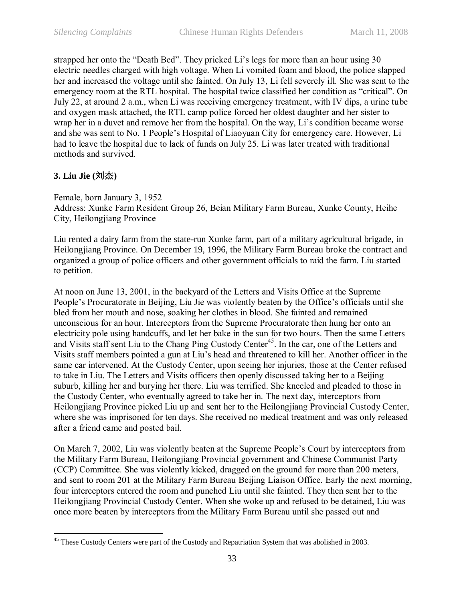strapped her onto the "Death Bed". They pricked Li's legs for more than an hour using 30 electric needles charged with high voltage. When Li vomited foam and blood, the police slapped her and increased the voltage until she fainted. On July 13, Li fell severely ill. She was sent to the emergency room at the RTL hospital. The hospital twice classified her condition as "critical". On July 22, at around 2 a.m., when Li was receiving emergency treatment, with IV dips, a urine tube and oxygen mask attached, the RTL camp police forced her oldest daughter and her sister to wrap her in a duvet and remove her from the hospital. On the way, Li's condition became worse and she was sent to No. 1 People's Hospital of Liaoyuan City for emergency care. However, Li had to leave the hospital due to lack of funds on July 25. Li was later treated with traditional methods and survived.

## **3. Liu Jie (**刘杰**)**

Female, born January 3, 1952 Address: Xunke Farm Resident Group 26, Beian Military Farm Bureau, Xunke County, Heihe City, Heilongiiang Province

Liu rented a dairy farm from the state-run Xunke farm, part of a military agricultural brigade, in Heilongjiang Province. On December 19, 1996, the Military Farm Bureau broke the contract and organized a group of police officers and other government officials to raid the farm. Liu started to petition.

At noon on June 13, 2001, in the backyard of the Letters and Visits Office at the Supreme People's Procuratorate in Beijing, Liu Jie was violently beaten by the Office's officials until she bled from her mouth and nose, soaking her clothes in blood. She fainted and remained unconscious for an hour. Interceptors from the Supreme Procuratorate then hung her onto an electricity pole using handcuffs, and let her bake in the sun for two hours. Then the same Letters and Visits staff sent Liu to the Chang Ping Custody Center<sup>45</sup>. In the car, one of the Letters and Visits staff members pointed a gun at Liu's head and threatened to kill her. Another officer in the same car intervened. At the Custody Center, upon seeing her injuries, those at the Center refused to take in Liu. The Letters and Visits officers then openly discussed taking her to a Beijing suburb, killing her and burying her there. Liu was terrified. She kneeled and pleaded to those in the Custody Center, who eventually agreed to take her in. The next day, interceptors from Heilongjiang Province picked Liu up and sent her to the Heilongjiang Provincial Custody Center, where she was imprisoned for ten days. She received no medical treatment and was only released after a friend came and posted bail.

On March 7, 2002, Liu was violently beaten at the Supreme People's Court by interceptors from the Military Farm Bureau, Heilongjiang Provincial government and Chinese Communist Party (CCP) Committee. She was violently kicked, dragged on the ground for more than 200 meters, and sent to room 201 at the Military Farm Bureau Beijing Liaison Office. Early the next morning, four interceptors entered the room and punched Liu until she fainted. They then sent her to the Heilongjiang Provincial Custody Center. When she woke up and refused to be detained, Liu was once more beaten by interceptors from the Military Farm Bureau until she passed out and

 $\overline{a}$ <sup>45</sup> These Custody Centers were part of the Custody and Repatriation System that was abolished in 2003.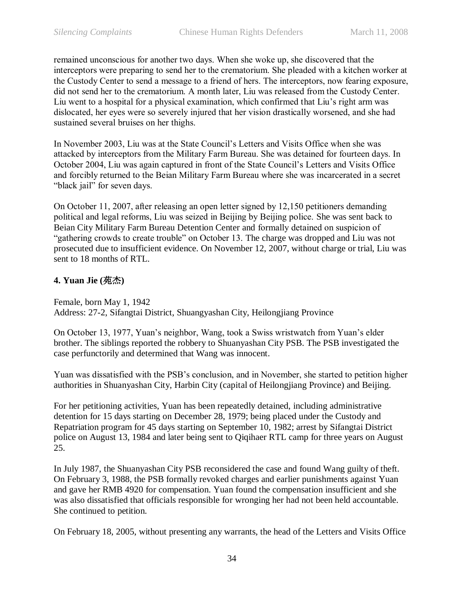remained unconscious for another two days. When she woke up, she discovered that the interceptors were preparing to send her to the crematorium. She pleaded with a kitchen worker at the Custody Center to send a message to a friend of hers. The interceptors, now fearing exposure, did not send her to the crematorium. A month later, Liu was released from the Custody Center. Liu went to a hospital for a physical examination, which confirmed that Liu's right arm was dislocated, her eyes were so severely injured that her vision drastically worsened, and she had sustained several bruises on her thighs.

In November 2003, Liu was at the State Council's Letters and Visits Office when she was attacked by interceptors from the Military Farm Bureau. She was detained for fourteen days. In October 2004, Liu was again captured in front of the State Council's Letters and Visits Office and forcibly returned to the Beian Military Farm Bureau where she was incarcerated in a secret "black jail" for seven days.

On October 11, 2007, after releasing an open letter signed by 12,150 petitioners demanding political and legal reforms, Liu was seized in Beijing by Beijing police. She was sent back to Beian City Military Farm Bureau Detention Center and formally detained on suspicion of "gathering crowds to create trouble" on October 13. The charge was dropped and Liu was not prosecuted due to insufficient evidence. On November 12, 2007, without charge or trial, Liu was sent to 18 months of RTL.

## **4. Yuan Jie (**苑杰**)**

Female, born May 1, 1942 Address: 27-2, Sifangtai District, Shuangyashan City, Heilongjiang Province

On October 13, 1977, Yuan's neighbor, Wang, took a Swiss wristwatch from Yuan's elder brother. The siblings reported the robbery to Shuanyashan City PSB. The PSB investigated the case perfunctorily and determined that Wang was innocent.

Yuan was dissatisfied with the PSB's conclusion, and in November, she started to petition higher authorities in Shuanyashan City, Harbin City (capital of Heilongjiang Province) and Beijing.

For her petitioning activities, Yuan has been repeatedly detained, including administrative detention for 15 days starting on December 28, 1979; being placed under the Custody and Repatriation program for 45 days starting on September 10, 1982; arrest by Sifangtai District police on August 13, 1984 and later being sent to Qiqihaer RTL camp for three years on August 25.

In July 1987, the Shuanyashan City PSB reconsidered the case and found Wang guilty of theft. On February 3, 1988, the PSB formally revoked charges and earlier punishments against Yuan and gave her RMB 4920 for compensation. Yuan found the compensation insufficient and she was also dissatisfied that officials responsible for wronging her had not been held accountable. She continued to petition.

On February 18, 2005, without presenting any warrants, the head of the Letters and Visits Office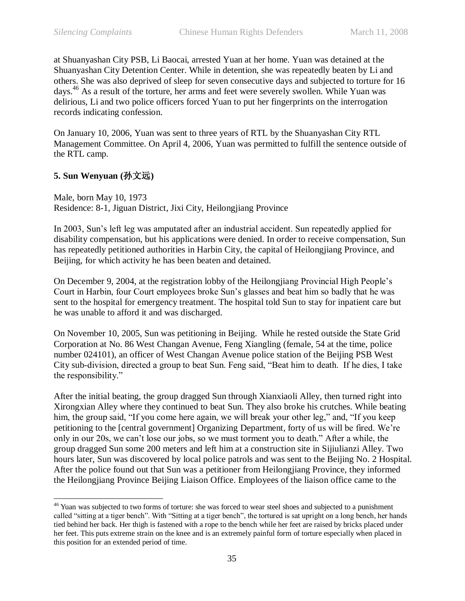at Shuanyashan City PSB, Li Baocai, arrested Yuan at her home. Yuan was detained at the Shuanyashan City Detention Center. While in detention, she was repeatedly beaten by Li and others. She was also deprived of sleep for seven consecutive days and subjected to torture for 16 days.<sup>46</sup> As a result of the torture, her arms and feet were severely swollen. While Yuan was delirious, Li and two police officers forced Yuan to put her fingerprints on the interrogation records indicating confession.

On January 10, 2006, Yuan was sent to three years of RTL by the Shuanyashan City RTL Management Committee. On April 4, 2006, Yuan was permitted to fulfill the sentence outside of the RTL camp.

### **5. Sun Wenyuan (**孙文远**)**

 $\overline{a}$ 

Male, born May 10, 1973 Residence: 8-1, Jiguan District, Jixi City, Heilongjiang Province

In 2003, Sun's left leg was amputated after an industrial accident. Sun repeatedly applied for disability compensation, but his applications were denied. In order to receive compensation, Sun has repeatedly petitioned authorities in Harbin City, the capital of Heilongjiang Province, and Beijing, for which activity he has been beaten and detained.

On December 9, 2004, at the registration lobby of the Heilongjiang Provincial High People's Court in Harbin, four Court employees broke Sun's glasses and beat him so badly that he was sent to the hospital for emergency treatment. The hospital told Sun to stay for inpatient care but he was unable to afford it and was discharged.

On November 10, 2005, Sun was petitioning in Beijing. While he rested outside the State Grid Corporation at No. 86 West Changan Avenue, Feng Xiangling (female, 54 at the time, police number 024101), an officer of West Changan Avenue police station of the Beijing PSB West City sub-division, directed a group to beat Sun. Feng said, "Beat him to death. If he dies, I take the responsibility."

After the initial beating, the group dragged Sun through Xianxiaoli Alley, then turned right into Xirongxian Alley where they continued to beat Sun. They also broke his crutches. While beating him, the group said, "If you come here again, we will break your other leg," and, "If you keep petitioning to the [central government] Organizing Department, forty of us will be fired. We're only in our 20s, we can't lose our jobs, so we must torment you to death." After a while, the group dragged Sun some 200 meters and left him at a construction site in Sijiulianzi Alley. Two hours later, Sun was discovered by local police patrols and was sent to the Beijing No. 2 Hospital. After the police found out that Sun was a petitioner from Heilongjiang Province, they informed the Heilongjiang Province Beijing Liaison Office. Employees of the liaison office came to the

<sup>&</sup>lt;sup>46</sup> Yuan was subjected to two forms of torture: she was forced to wear steel shoes and subjected to a punishment called "sitting at a tiger bench". With "Sitting at a tiger bench", the tortured is sat upright on a long bench, her hands tied behind her back. Her thigh is fastened with a rope to the bench while her feet are raised by bricks placed under her feet. This puts extreme strain on the knee and is an extremely painful form of torture especially when placed in this position for an extended period of time.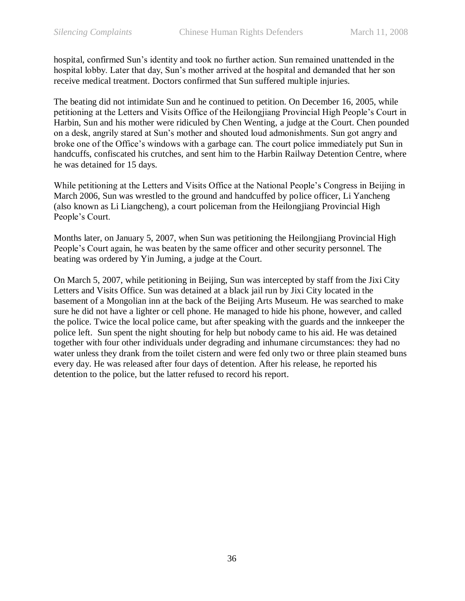hospital, confirmed Sun's identity and took no further action. Sun remained unattended in the hospital lobby. Later that day, Sun's mother arrived at the hospital and demanded that her son receive medical treatment. Doctors confirmed that Sun suffered multiple injuries.

The beating did not intimidate Sun and he continued to petition. On December 16, 2005, while petitioning at the Letters and Visits Office of the Heilongjiang Provincial High People's Court in Harbin, Sun and his mother were ridiculed by Chen Wenting, a judge at the Court. Chen pounded on a desk, angrily stared at Sun's mother and shouted loud admonishments. Sun got angry and broke one of the Office's windows with a garbage can. The court police immediately put Sun in handcuffs, confiscated his crutches, and sent him to the Harbin Railway Detention Centre, where he was detained for 15 days.

While petitioning at the Letters and Visits Office at the National People's Congress in Beijing in March 2006, Sun was wrestled to the ground and handcuffed by police officer, Li Yancheng (also known as Li Liangcheng), a court policeman from the Heilongjiang Provincial High People's Court.

Months later, on January 5, 2007, when Sun was petitioning the Heilongjiang Provincial High People's Court again, he was beaten by the same officer and other security personnel. The beating was ordered by Yin Juming, a judge at the Court.

On March 5, 2007, while petitioning in Beijing, Sun was intercepted by staff from the Jixi City Letters and Visits Office. Sun was detained at a black jail run by Jixi City located in the basement of a Mongolian inn at the back of the Beijing Arts Museum. He was searched to make sure he did not have a lighter or cell phone. He managed to hide his phone, however, and called the police. Twice the local police came, but after speaking with the guards and the innkeeper the police left. Sun spent the night shouting for help but nobody came to his aid. He was detained together with four other individuals under degrading and inhumane circumstances: they had no water unless they drank from the toilet cistern and were fed only two or three plain steamed buns every day. He was released after four days of detention. After his release, he reported his detention to the police, but the latter refused to record his report.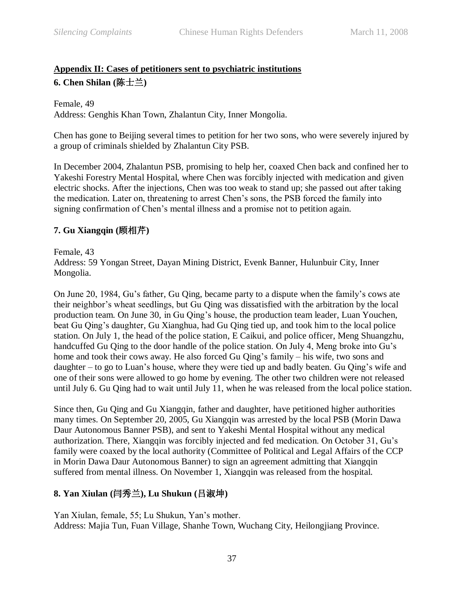## <span id="page-36-0"></span>**Appendix II: Cases of petitioners sent to psychiatric institutions 6. Chen Shilan (**陈士兰**)**

Female, 49 Address: Genghis Khan Town, Zhalantun City, Inner Mongolia.

Chen has gone to Beijing several times to petition for her two sons, who were severely injured by a group of criminals shielded by Zhalantun City PSB.

In December 2004, Zhalantun PSB, promising to help her, coaxed Chen back and confined her to Yakeshi Forestry Mental Hospital, where Chen was forcibly injected with medication and given electric shocks. After the injections, Chen was too weak to stand up; she passed out after taking the medication. Later on, threatening to arrest Chen's sons, the PSB forced the family into signing confirmation of Chen's mental illness and a promise not to petition again.

## **7. Gu Xiangqin (**顾相芹**)**

Female, 43

Address: 59 Yongan Street, Dayan Mining District, Evenk Banner, Hulunbuir City, Inner Mongolia.

On June 20, 1984, Gu's father, Gu Qing, became party to a dispute when the family's cows ate their neighbor's wheat seedlings, but Gu Qing was dissatisfied with the arbitration by the local production team. On June 30, in Gu Qing's house, the production team leader, Luan Youchen, beat Gu Qing's daughter, Gu Xianghua, had Gu Qing tied up, and took him to the local police station. On July 1, the head of the police station, E Caikui, and police officer, Meng Shuangzhu, handcuffed Gu Qing to the door handle of the police station. On July 4, Meng broke into Gu's home and took their cows away. He also forced Gu Qing's family – his wife, two sons and daughter – to go to Luan's house, where they were tied up and badly beaten. Gu Qing's wife and one of their sons were allowed to go home by evening. The other two children were not released until July 6. Gu Qing had to wait until July 11, when he was released from the local police station.

Since then, Gu Qing and Gu Xiangqin, father and daughter, have petitioned higher authorities many times. On September 20, 2005, Gu Xiangqin was arrested by the local PSB (Morin Dawa Daur Autonomous Banner PSB), and sent to Yakeshi Mental Hospital without any medical authorization. There, Xiangqin was forcibly injected and fed medication. On October 31, Gu's family were coaxed by the local authority (Committee of Political and Legal Affairs of the CCP in Morin Dawa Daur Autonomous Banner) to sign an agreement admitting that Xiangqin suffered from mental illness. On November 1, Xiangqin was released from the hospital.

## **8. Yan Xiulan (**闫秀兰**), Lu Shukun (**吕淑坤**)**

Yan Xiulan, female, 55; Lu Shukun, Yan's mother. Address: Majia Tun, Fuan Village, Shanhe Town, Wuchang City, Heilongjiang Province.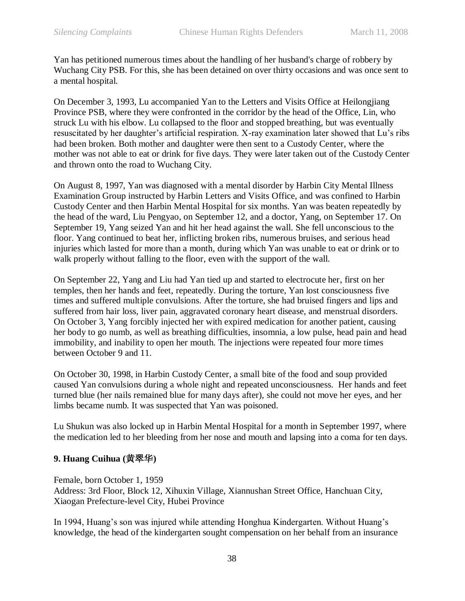Yan has petitioned numerous times about the handling of her husband's charge of robbery by Wuchang City PSB. For this, she has been detained on over thirty occasions and was once sent to a mental hospital.

On December 3, 1993, Lu accompanied Yan to the Letters and Visits Office at Heilongjiang Province PSB, where they were confronted in the corridor by the head of the Office, Lin, who struck Lu with his elbow. Lu collapsed to the floor and stopped breathing, but was eventually resuscitated by her daughter's artificial respiration. X-ray examination later showed that Lu's ribs had been broken. Both mother and daughter were then sent to a Custody Center, where the mother was not able to eat or drink for five days. They were later taken out of the Custody Center and thrown onto the road to Wuchang City.

On August 8, 1997, Yan was diagnosed with a mental disorder by Harbin City Mental Illness Examination Group instructed by Harbin Letters and Visits Office, and was confined to Harbin Custody Center and then Harbin Mental Hospital for six months. Yan was beaten repeatedly by the head of the ward, Liu Pengyao, on September 12, and a doctor, Yang, on September 17. On September 19, Yang seized Yan and hit her head against the wall. She fell unconscious to the floor. Yang continued to beat her, inflicting broken ribs, numerous bruises, and serious head injuries which lasted for more than a month, during which Yan was unable to eat or drink or to walk properly without falling to the floor, even with the support of the wall.

On September 22, Yang and Liu had Yan tied up and started to electrocute her, first on her temples, then her hands and feet, repeatedly. During the torture, Yan lost consciousness five times and suffered multiple convulsions. After the torture, she had bruised fingers and lips and suffered from hair loss, liver pain, aggravated coronary heart disease, and menstrual disorders. On October 3, Yang forcibly injected her with expired medication for another patient, causing her body to go numb, as well as breathing difficulties, insomnia, a low pulse, head pain and head immobility, and inability to open her mouth. The injections were repeated four more times between October 9 and 11.

On October 30, 1998, in Harbin Custody Center, a small bite of the food and soup provided caused Yan convulsions during a whole night and repeated unconsciousness. Her hands and feet turned blue (her nails remained blue for many days after), she could not move her eyes, and her limbs became numb. It was suspected that Yan was poisoned.

Lu Shukun was also locked up in Harbin Mental Hospital for a month in September 1997, where the medication led to her bleeding from her nose and mouth and lapsing into a coma for ten days.

#### **9. Huang Cuihua (**黄翠华**)**

Female, born October 1, 1959 Address: 3rd Floor, Block 12, Xihuxin Village, Xiannushan Street Office, Hanchuan City, Xiaogan Prefecture-level City, Hubei Province

In 1994, Huang's son was injured while attending Honghua Kindergarten. Without Huang's knowledge, the head of the kindergarten sought compensation on her behalf from an insurance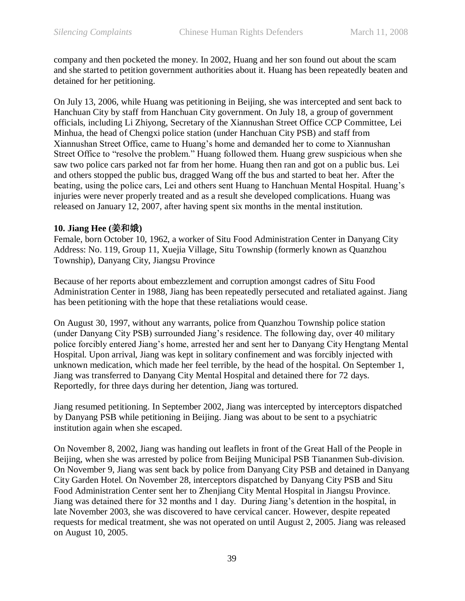company and then pocketed the money. In 2002, Huang and her son found out about the scam and she started to petition government authorities about it. Huang has been repeatedly beaten and detained for her petitioning.

On July 13, 2006, while Huang was petitioning in Beijing, she was intercepted and sent back to Hanchuan City by staff from Hanchuan City government. On July 18, a group of government officials, including Li Zhiyong, Secretary of the Xiannushan Street Office CCP Committee, Lei Minhua, the head of Chengxi police station (under Hanchuan City PSB) and staff from Xiannushan Street Office, came to Huang's home and demanded her to come to Xiannushan Street Office to "resolve the problem." Huang followed them. Huang grew suspicious when she saw two police cars parked not far from her home. Huang then ran and got on a public bus. Lei and others stopped the public bus, dragged Wang off the bus and started to beat her. After the beating, using the police cars, Lei and others sent Huang to Hanchuan Mental Hospital. Huang's injuries were never properly treated and as a result she developed complications. Huang was released on January 12, 2007, after having spent six months in the mental institution.

#### **10. Jiang Hee (**姜和娥**)**

Female, born October 10, 1962, a worker of Situ Food Administration Center in Danyang City Address: No. 119, Group 11, Xuejia Village, Situ Township (formerly known as Quanzhou Township), Danyang City, Jiangsu Province

Because of her reports about embezzlement and corruption amongst cadres of Situ Food Administration Center in 1988, Jiang has been repeatedly persecuted and retaliated against. Jiang has been petitioning with the hope that these retaliations would cease.

On August 30, 1997, without any warrants, police from Quanzhou Township police station (under Danyang City PSB) surrounded Jiang's residence. The following day, over 40 military police forcibly entered Jiang's home, arrested her and sent her to Danyang City Hengtang Mental Hospital. Upon arrival, Jiang was kept in solitary confinement and was forcibly injected with unknown medication, which made her feel terrible, by the head of the hospital. On September 1, Jiang was transferred to Danyang City Mental Hospital and detained there for 72 days. Reportedly, for three days during her detention, Jiang was tortured.

Jiang resumed petitioning. In September 2002, Jiang was intercepted by interceptors dispatched by Danyang PSB while petitioning in Beijing. Jiang was about to be sent to a psychiatric institution again when she escaped.

On November 8, 2002, Jiang was handing out leaflets in front of the Great Hall of the People in Beijing, when she was arrested by police from Beijing Municipal PSB Tiananmen Sub-division. On November 9, Jiang was sent back by police from Danyang City PSB and detained in Danyang City Garden Hotel. On November 28, interceptors dispatched by Danyang City PSB and Situ Food Administration Center sent her to Zhenjiang City Mental Hospital in Jiangsu Province. Jiang was detained there for 32 months and 1 day. During Jiang's detention in the hospital, in late November 2003, she was discovered to have cervical cancer. However, despite repeated requests for medical treatment, she was not operated on until August 2, 2005. Jiang was released on August 10, 2005.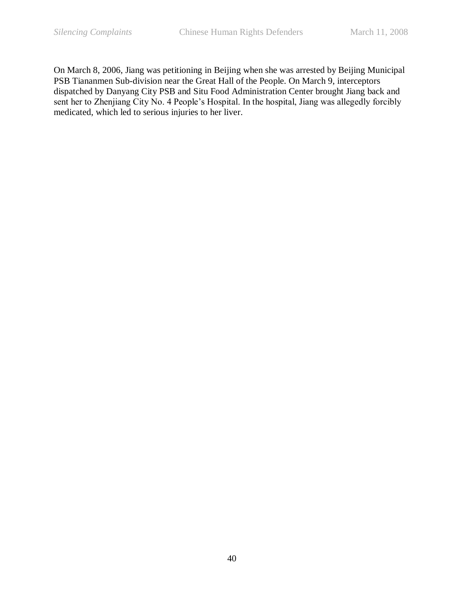On March 8, 2006, Jiang was petitioning in Beijing when she was arrested by Beijing Municipal PSB Tiananmen Sub-division near the Great Hall of the People. On March 9, interceptors dispatched by Danyang City PSB and Situ Food Administration Center brought Jiang back and sent her to Zhenjiang City No. 4 People's Hospital. In the hospital, Jiang was allegedly forcibly medicated, which led to serious injuries to her liver.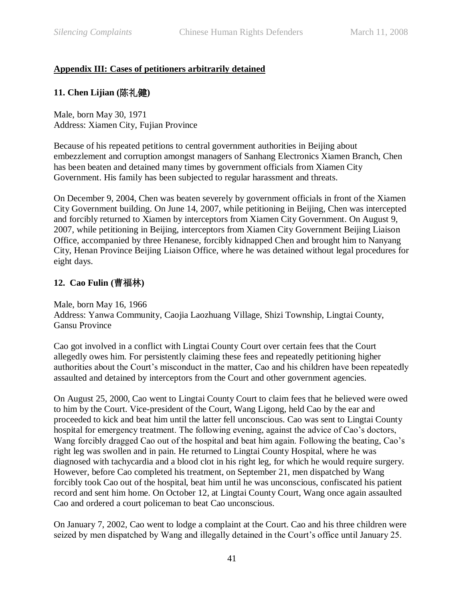## <span id="page-40-0"></span>**Appendix III: Cases of petitioners arbitrarily detained**

## **11. Chen Lijian (**陈礼健**)**

Male, born May 30, 1971 Address: Xiamen City, Fujian Province

Because of his repeated petitions to central government authorities in Beijing about embezzlement and corruption amongst managers of Sanhang Electronics Xiamen Branch, Chen has been beaten and detained many times by government officials from Xiamen City Government. His family has been subjected to regular harassment and threats.

On December 9, 2004, Chen was beaten severely by government officials in front of the Xiamen City Government building. On June 14, 2007, while petitioning in Beijing, Chen was intercepted and forcibly returned to Xiamen by interceptors from Xiamen City Government. On August 9, 2007, while petitioning in Beijing, interceptors from Xiamen City Government Beijing Liaison Office, accompanied by three Henanese, forcibly kidnapped Chen and brought him to Nanyang City, Henan Province Beijing Liaison Office, where he was detained without legal procedures for eight days.

## **12. Cao Fulin (**曹福林**)**

Male, born May 16, 1966 Address: Yanwa Community, Caojia Laozhuang Village, Shizi Township, Lingtai County, Gansu Province

Cao got involved in a conflict with Lingtai County Court over certain fees that the Court allegedly owes him. For persistently claiming these fees and repeatedly petitioning higher authorities about the Court's misconduct in the matter, Cao and his children have been repeatedly assaulted and detained by interceptors from the Court and other government agencies.

On August 25, 2000, Cao went to Lingtai County Court to claim fees that he believed were owed to him by the Court. Vice-president of the Court, Wang Ligong, held Cao by the ear and proceeded to kick and beat him until the latter fell unconscious. Cao was sent to Lingtai County hospital for emergency treatment. The following evening, against the advice of Cao's doctors, Wang forcibly dragged Cao out of the hospital and beat him again. Following the beating, Cao's right leg was swollen and in pain. He returned to Lingtai County Hospital, where he was diagnosed with tachycardia and a blood clot in his right leg, for which he would require surgery. However, before Cao completed his treatment, on September 21, men dispatched by Wang forcibly took Cao out of the hospital, beat him until he was unconscious, confiscated his patient record and sent him home. On October 12, at Lingtai County Court, Wang once again assaulted Cao and ordered a court policeman to beat Cao unconscious.

On January 7, 2002, Cao went to lodge a complaint at the Court. Cao and his three children were seized by men dispatched by Wang and illegally detained in the Court's office until January 25.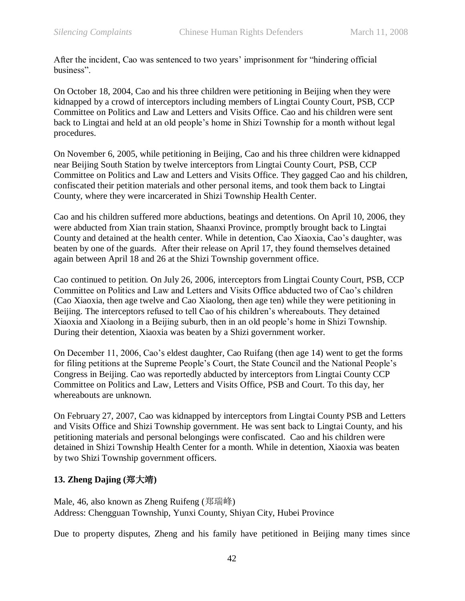After the incident, Cao was sentenced to two years' imprisonment for "hindering official business".

On October 18, 2004, Cao and his three children were petitioning in Beijing when they were kidnapped by a crowd of interceptors including members of Lingtai County Court, PSB, CCP Committee on Politics and Law and Letters and Visits Office. Cao and his children were sent back to Lingtai and held at an old people's home in Shizi Township for a month without legal procedures.

On November 6, 2005, while petitioning in Beijing, Cao and his three children were kidnapped near Beijing South Station by twelve interceptors from Lingtai County Court, PSB, CCP Committee on Politics and Law and Letters and Visits Office. They gagged Cao and his children, confiscated their petition materials and other personal items, and took them back to Lingtai County, where they were incarcerated in Shizi Township Health Center.

Cao and his children suffered more abductions, beatings and detentions. On April 10, 2006, they were abducted from Xian train station, Shaanxi Province, promptly brought back to Lingtai County and detained at the health center. While in detention, Cao Xiaoxia, Cao's daughter, was beaten by one of the guards. After their release on April 17, they found themselves detained again between April 18 and 26 at the Shizi Township government office.

Cao continued to petition. On July 26, 2006, interceptors from Lingtai County Court, PSB, CCP Committee on Politics and Law and Letters and Visits Office abducted two of Cao's children (Cao Xiaoxia, then age twelve and Cao Xiaolong, then age ten) while they were petitioning in Beijing. The interceptors refused to tell Cao of his children's whereabouts. They detained Xiaoxia and Xiaolong in a Beijing suburb, then in an old people's home in Shizi Township. During their detention, Xiaoxia was beaten by a Shizi government worker.

On December 11, 2006, Cao's eldest daughter, Cao Ruifang (then age 14) went to get the forms for filing petitions at the Supreme People's Court, the State Council and the National People's Congress in Beijing. Cao was reportedly abducted by interceptors from Lingtai County CCP Committee on Politics and Law, Letters and Visits Office, PSB and Court. To this day, her whereabouts are unknown.

On February 27, 2007, Cao was kidnapped by interceptors from Lingtai County PSB and Letters and Visits Office and Shizi Township government. He was sent back to Lingtai County, and his petitioning materials and personal belongings were confiscated. Cao and his children were detained in Shizi Township Health Center for a month. While in detention, Xiaoxia was beaten by two Shizi Township government officers.

## **13. Zheng Dajing (**郑大靖**)**

Male, 46, also known as Zheng Ruifeng (郑瑞峰) Address: Chengguan Township, Yunxi County, Shiyan City, Hubei Province

Due to property disputes, Zheng and his family have petitioned in Beijing many times since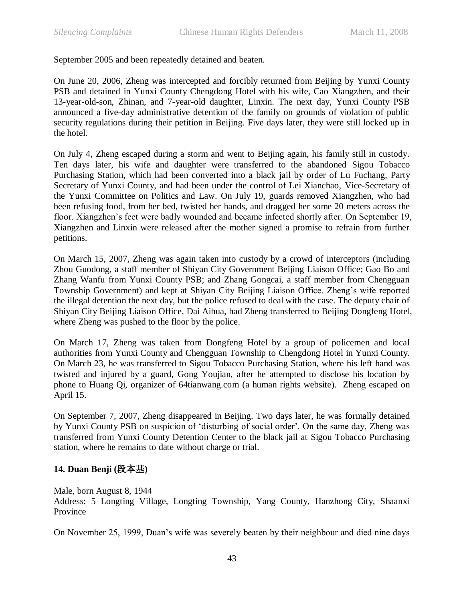September 2005 and been repeatedly detained and beaten.

On June 20, 2006, Zheng was intercepted and forcibly returned from Beijing by Yunxi County PSB and detained in Yunxi County Chengdong Hotel with his wife, Cao Xiangzhen, and their 13-year-old-son, Zhinan, and 7-year-old daughter, Linxin. The next day, Yunxi County PSB announced a five-day administrative detention of the family on grounds of violation of public security regulations during their petition in Beijing. Five days later, they were still locked up in the hotel.

On July 4, Zheng escaped during a storm and went to Beijing again, his family still in custody. Ten days later, his wife and daughter were transferred to the abandoned Sigou Tobacco Purchasing Station, which had been converted into a black jail by order of Lu Fuchang, Party Secretary of Yunxi County, and had been under the control of Lei Xianchao, Vice-Secretary of the Yunxi Committee on Politics and Law. On July 19, guards removed Xiangzhen, who had been refusing food, from her bed, twisted her hands, and dragged her some 20 meters across the floor. Xiangzhen's feet were badly wounded and became infected shortly after. On September 19, Xiangzhen and Linxin were released after the mother signed a promise to refrain from further petitions.

On March 15, 2007, Zheng was again taken into custody by a crowd of interceptors (including Zhou Guodong, a staff member of Shiyan City Government Beijing Liaison Office; Gao Bo and Zhang Wanfu from Yunxi County PSB; and Zhang Gongcai, a staff member from Chengguan Township Government) and kept at Shiyan City Beijing Liaison Office. Zheng's wife reported the illegal detention the next day, but the police refused to deal with the case. The deputy chair of Shiyan City Beijing Liaison Office, Dai Aihua, had Zheng transferred to Beijing Dongfeng Hotel, where Zheng was pushed to the floor by the police.

On March 17, Zheng was taken from Dongfeng Hotel by a group of policemen and local authorities from Yunxi County and Chengguan Township to Chengdong Hotel in Yunxi County. On March 23, he was transferred to Sigou Tobacco Purchasing Station, where his left hand was twisted and injured by a guard, Gong Youjian, after he attempted to disclose his location by phone to Huang Qi, organizer of 64tianwang.com (a human rights website). Zheng escaped on April 15.

On September 7, 2007, Zheng disappeared in Beijing. Two days later, he was formally detained by Yunxi County PSB on suspicion of ‗disturbing of social order'. On the same day, Zheng was transferred from Yunxi County Detention Center to the black jail at Sigou Tobacco Purchasing station, where he remains to date without charge or trial.

## **14. Duan Benji (**段本基**)**

Male, born August 8, 1944

Address: 5 Longting Village, Longting Township, Yang County, Hanzhong City, Shaanxi Province

On November 25, 1999, Duan's wife was severely beaten by their neighbour and died nine days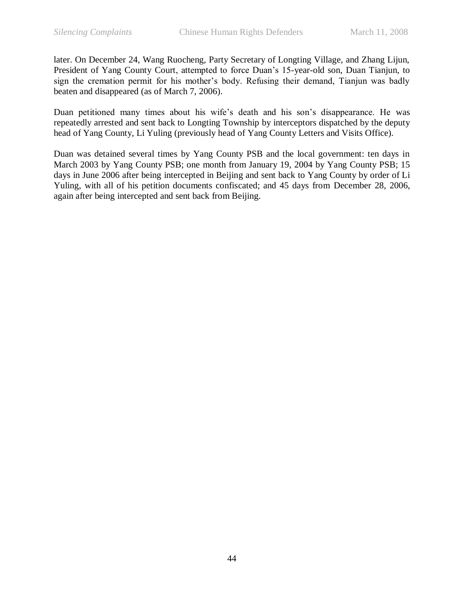later. On December 24, Wang Ruocheng, Party Secretary of Longting Village, and Zhang Lijun, President of Yang County Court, attempted to force Duan's 15-year-old son, Duan Tianjun, to sign the cremation permit for his mother's body. Refusing their demand, Tianjun was badly beaten and disappeared (as of March 7, 2006).

Duan petitioned many times about his wife's death and his son's disappearance. He was repeatedly arrested and sent back to Longting Township by interceptors dispatched by the deputy head of Yang County, Li Yuling (previously head of Yang County Letters and Visits Office).

Duan was detained several times by Yang County PSB and the local government: ten days in March 2003 by Yang County PSB; one month from January 19, 2004 by Yang County PSB; 15 days in June 2006 after being intercepted in Beijing and sent back to Yang County by order of Li Yuling, with all of his petition documents confiscated; and 45 days from December 28, 2006, again after being intercepted and sent back from Beijing.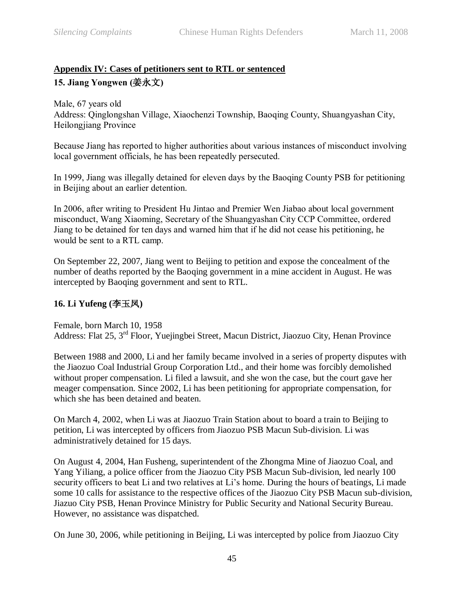## <span id="page-44-0"></span>**Appendix IV: Cases of petitioners sent to RTL or sentenced 15. Jiang Yongwen (**姜永文**)**

Male, 67 years old Address: Qinglongshan Village, Xiaochenzi Township, Baoqing County, Shuangyashan City, Heilongjiang Province

Because Jiang has reported to higher authorities about various instances of misconduct involving local government officials, he has been repeatedly persecuted.

In 1999, Jiang was illegally detained for eleven days by the Baoqing County PSB for petitioning in Beijing about an earlier detention.

In 2006, after writing to President Hu Jintao and Premier Wen Jiabao about local government misconduct, Wang Xiaoming, Secretary of the Shuangyashan City CCP Committee, ordered Jiang to be detained for ten days and warned him that if he did not cease his petitioning, he would be sent to a RTL camp.

On September 22, 2007, Jiang went to Beijing to petition and expose the concealment of the number of deaths reported by the Baoqing government in a mine accident in August. He was intercepted by Baoqing government and sent to RTL.

## **16. Li Yufeng (**李玉凤**)**

Female, born March 10, 1958 Address: Flat 25, 3rd Floor, Yuejingbei Street, Macun District, Jiaozuo City, Henan Province

Between 1988 and 2000, Li and her family became involved in a series of property disputes with the Jiaozuo Coal Industrial Group Corporation Ltd., and their home was forcibly demolished without proper compensation. Li filed a lawsuit, and she won the case, but the court gave her meager compensation. Since 2002, Li has been petitioning for appropriate compensation, for which she has been detained and beaten.

On March 4, 2002, when Li was at Jiaozuo Train Station about to board a train to Beijing to petition, Li was intercepted by officers from Jiaozuo PSB Macun Sub-division. Li was administratively detained for 15 days.

On August 4, 2004, Han Fusheng, superintendent of the Zhongma Mine of Jiaozuo Coal, and Yang Yiliang, a police officer from the Jiaozuo City PSB Macun Sub-division, led nearly 100 security officers to beat Li and two relatives at Li's home. During the hours of beatings, Li made some 10 calls for assistance to the respective offices of the Jiaozuo City PSB Macun sub-division, Jiazuo City PSB, Henan Province Ministry for Public Security and National Security Bureau. However, no assistance was dispatched.

On June 30, 2006, while petitioning in Beijing, Li was intercepted by police from Jiaozuo City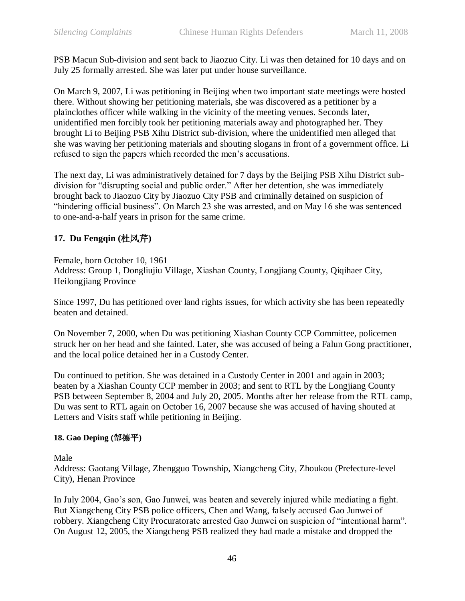PSB Macun Sub-division and sent back to Jiaozuo City. Li was then detained for 10 days and on July 25 formally arrested. She was later put under house surveillance.

On March 9, 2007, Li was petitioning in Beijing when two important state meetings were hosted there. Without showing her petitioning materials, she was discovered as a petitioner by a plainclothes officer while walking in the vicinity of the meeting venues. Seconds later, unidentified men forcibly took her petitioning materials away and photographed her. They brought Li to Beijing PSB Xihu District sub-division, where the unidentified men alleged that she was waving her petitioning materials and shouting slogans in front of a government office. Li refused to sign the papers which recorded the men's accusations.

The next day, Li was administratively detained for 7 days by the Beijing PSB Xihu District subdivision for "disrupting social and public order." After her detention, she was immediately brought back to Jiaozuo City by Jiaozuo City PSB and criminally detained on suspicion of "hindering official business". On March 23 she was arrested, and on May 16 she was sentenced to one-and-a-half years in prison for the same crime.

## **17. Du Fengqin (**杜风芹**)**

Female, born October 10, 1961 Address: Group 1, Dongliujiu Village, Xiashan County, Longjiang County, Qiqihaer City, Heilongjiang Province

Since 1997, Du has petitioned over land rights issues, for which activity she has been repeatedly beaten and detained.

On November 7, 2000, when Du was petitioning Xiashan County CCP Committee, policemen struck her on her head and she fainted. Later, she was accused of being a Falun Gong practitioner, and the local police detained her in a Custody Center.

Du continued to petition. She was detained in a Custody Center in 2001 and again in 2003; beaten by a Xiashan County CCP member in 2003; and sent to RTL by the Longjiang County PSB between September 8, 2004 and July 20, 2005. Months after her release from the RTL camp, Du was sent to RTL again on October 16, 2007 because she was accused of having shouted at Letters and Visits staff while petitioning in Beijing.

## **18. Gao Deping (**郜德平**)**

Male

Address: Gaotang Village, Zhengguo Township, Xiangcheng City, Zhoukou (Prefecture-level City), Henan Province

In July 2004, Gao's son, Gao Junwei, was beaten and severely injured while mediating a fight. But Xiangcheng City PSB police officers, Chen and Wang, falsely accused Gao Junwei of robbery. Xiangcheng City Procuratorate arrested Gao Junwei on suspicion of "intentional harm". On August 12, 2005, the Xiangcheng PSB realized they had made a mistake and dropped the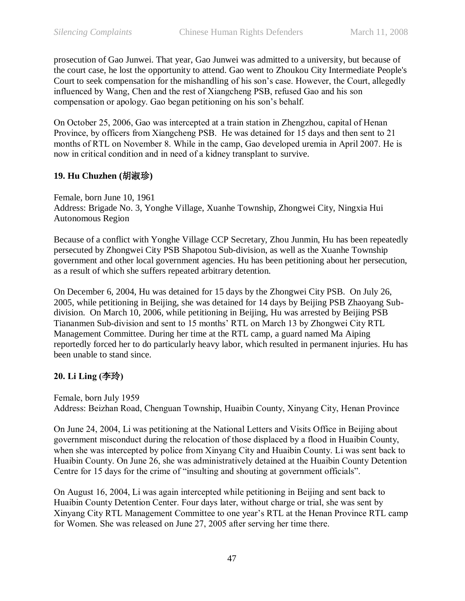prosecution of Gao Junwei. That year, Gao Junwei was admitted to a university, but because of the court case, he lost the opportunity to attend. Gao went to Zhoukou City Intermediate People's Court to seek compensation for the mishandling of his son's case. However, the Court, allegedly influenced by Wang, Chen and the rest of Xiangcheng PSB, refused Gao and his son compensation or apology. Gao began petitioning on his son's behalf.

On October 25, 2006, Gao was intercepted at a train station in Zhengzhou, capital of Henan Province, by officers from Xiangcheng PSB. He was detained for 15 days and then sent to 21 months of RTL on November 8. While in the camp, Gao developed uremia in April 2007. He is now in critical condition and in need of a kidney transplant to survive.

## **19. Hu Chuzhen (**胡淑珍**)**

Female, born June 10, 1961 Address: Brigade No. 3, Yonghe Village, Xuanhe Township, Zhongwei City, Ningxia Hui Autonomous Region

Because of a conflict with Yonghe Village CCP Secretary, Zhou Junmin, Hu has been repeatedly persecuted by Zhongwei City PSB Shapotou Sub-division, as well as the Xuanhe Township government and other local government agencies. Hu has been petitioning about her persecution, as a result of which she suffers repeated arbitrary detention.

On December 6, 2004, Hu was detained for 15 days by the Zhongwei City PSB. On July 26, 2005, while petitioning in Beijing, she was detained for 14 days by Beijing PSB Zhaoyang Subdivision. On March 10, 2006, while petitioning in Beijing, Hu was arrested by Beijing PSB Tiananmen Sub-division and sent to 15 months' RTL on March 13 by Zhongwei City RTL Management Committee. During her time at the RTL camp, a guard named Ma Aiping reportedly forced her to do particularly heavy labor, which resulted in permanent injuries. Hu has been unable to stand since.

#### **20. Li Ling (**李玲**)**

Female, born July 1959 Address: Beizhan Road, Chenguan Township, Huaibin County, Xinyang City, Henan Province

On June 24, 2004, Li was petitioning at the National Letters and Visits Office in Beijing about government misconduct during the relocation of those displaced by a flood in Huaibin County, when she was intercepted by police from Xinyang City and Huaibin County. Li was sent back to Huaibin County. On June 26, she was administratively detained at the Huaibin County Detention Centre for 15 days for the crime of "insulting and shouting at government officials".

On August 16, 2004, Li was again intercepted while petitioning in Beijing and sent back to Huaibin County Detention Center. Four days later, without charge or trial, she was sent by Xinyang City RTL Management Committee to one year's RTL at the Henan Province RTL camp for Women. She was released on June 27, 2005 after serving her time there.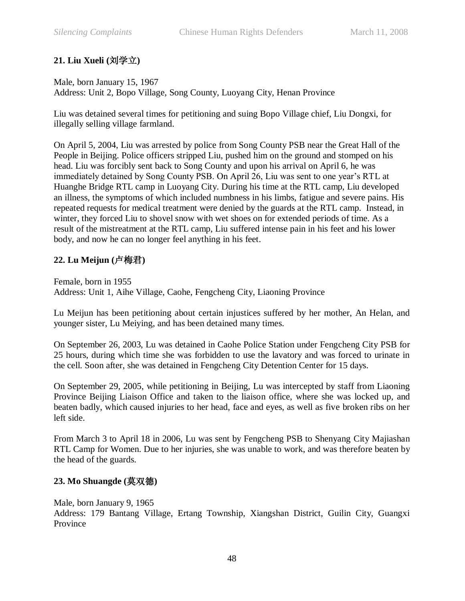## **21. Liu Xueli (**刘学立**)**

## Male, born January 15, 1967

Address: Unit 2, Bopo Village, Song County, Luoyang City, Henan Province

Liu was detained several times for petitioning and suing Bopo Village chief, Liu Dongxi, for illegally selling village farmland.

On April 5, 2004, Liu was arrested by police from Song County PSB near the Great Hall of the People in Beijing. Police officers stripped Liu, pushed him on the ground and stomped on his head. Liu was forcibly sent back to Song County and upon his arrival on April 6, he was immediately detained by Song County PSB. On April 26, Liu was sent to one year's RTL at Huanghe Bridge RTL camp in Luoyang City. During his time at the RTL camp, Liu developed an illness, the symptoms of which included numbness in his limbs, fatigue and severe pains. His repeated requests for medical treatment were denied by the guards at the RTL camp. Instead, in winter, they forced Liu to shovel snow with wet shoes on for extended periods of time. As a result of the mistreatment at the RTL camp, Liu suffered intense pain in his feet and his lower body, and now he can no longer feel anything in his feet.

## **22. Lu Meijun (**卢梅君**)**

Female, born in 1955 Address: Unit 1, Aihe Village, Caohe, Fengcheng City, Liaoning Province

Lu Meijun has been petitioning about certain injustices suffered by her mother, An Helan, and younger sister, Lu Meiying, and has been detained many times.

On September 26, 2003, Lu was detained in Caohe Police Station under Fengcheng City PSB for 25 hours, during which time she was forbidden to use the lavatory and was forced to urinate in the cell. Soon after, she was detained in Fengcheng City Detention Center for 15 days.

On September 29, 2005, while petitioning in Beijing, Lu was intercepted by staff from Liaoning Province Beijing Liaison Office and taken to the liaison office, where she was locked up, and beaten badly, which caused injuries to her head, face and eyes, as well as five broken ribs on her left side.

From March 3 to April 18 in 2006, Lu was sent by Fengcheng PSB to Shenyang City Majiashan RTL Camp for Women. Due to her injuries, she was unable to work, and was therefore beaten by the head of the guards.

## **23. Mo Shuangde (**莫双德**)**

Male, born January 9, 1965 Address: 179 Bantang Village, Ertang Township, Xiangshan District, Guilin City, Guangxi Province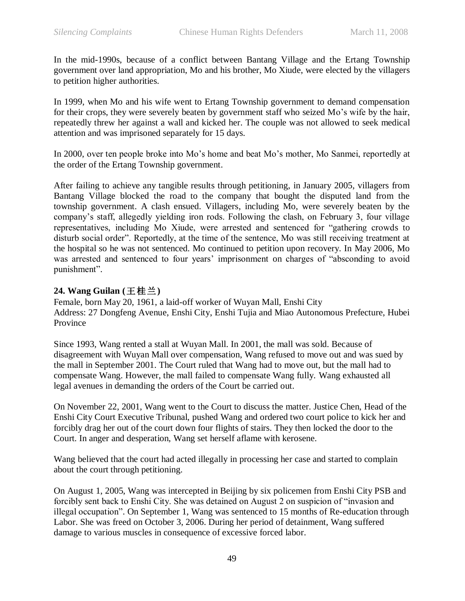In the mid-1990s, because of a conflict between Bantang Village and the Ertang Township government over land appropriation, Mo and his brother, Mo Xiude, were elected by the villagers to petition higher authorities.

In 1999, when Mo and his wife went to Ertang Township government to demand compensation for their crops, they were severely beaten by government staff who seized Mo's wife by the hair, repeatedly threw her against a wall and kicked her. The couple was not allowed to seek medical attention and was imprisoned separately for 15 days.

In 2000, over ten people broke into Mo's home and beat Mo's mother, Mo Sanmei, reportedly at the order of the Ertang Township government.

After failing to achieve any tangible results through petitioning, in January 2005, villagers from Bantang Village blocked the road to the company that bought the disputed land from the township government. A clash ensued. Villagers, including Mo, were severely beaten by the company's staff, allegedly yielding iron rods. Following the clash, on February 3, four village representatives, including Mo Xiude, were arrested and sentenced for "gathering crowds to disturb social order". Reportedly, at the time of the sentence, Mo was still receiving treatment at the hospital so he was not sentenced. Mo continued to petition upon recovery. In May 2006, Mo was arrested and sentenced to four years' imprisonment on charges of "absconding to avoid punishment".

## **24. Wang Guilan (**王桂兰**)**

Female, born May 20, 1961, a laid-off worker of Wuyan Mall, Enshi City Address: 27 Dongfeng Avenue, Enshi City, Enshi Tujia and Miao Autonomous Prefecture, Hubei Province

Since 1993, Wang rented a stall at Wuyan Mall. In 2001, the mall was sold. Because of disagreement with Wuyan Mall over compensation, Wang refused to move out and was sued by the mall in September 2001. The Court ruled that Wang had to move out, but the mall had to compensate Wang. However, the mall failed to compensate Wang fully. Wang exhausted all legal avenues in demanding the orders of the Court be carried out.

On November 22, 2001, Wang went to the Court to discuss the matter. Justice Chen, Head of the Enshi City Court Executive Tribunal, pushed Wang and ordered two court police to kick her and forcibly drag her out of the court down four flights of stairs. They then locked the door to the Court. In anger and desperation, Wang set herself aflame with kerosene.

Wang believed that the court had acted illegally in processing her case and started to complain about the court through petitioning.

On August 1, 2005, Wang was intercepted in Beijing by six policemen from Enshi City PSB and forcibly sent back to Enshi City. She was detained on August 2 on suspicion of "invasion and illegal occupation". On September 1, Wang was sentenced to 15 months of Re-education through Labor. She was freed on October 3, 2006. During her period of detainment, Wang suffered damage to various muscles in consequence of excessive forced labor.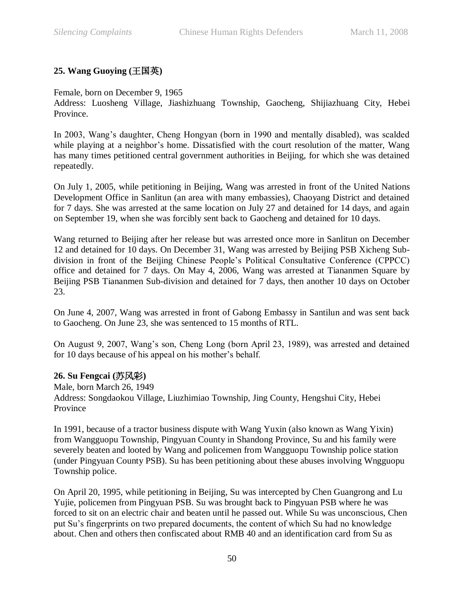## **25. Wang Guoying (**王国英**)**

Female, born on December 9, 1965

Address: Luosheng Village, Jiashizhuang Township, Gaocheng, Shijiazhuang City, Hebei Province.

In 2003, Wang's daughter, Cheng Hongyan (born in 1990 and mentally disabled), was scalded while playing at a neighbor's home. Dissatisfied with the court resolution of the matter, Wang has many times petitioned central government authorities in Beijing, for which she was detained repeatedly.

On July 1, 2005, while petitioning in Beijing, Wang was arrested in front of the United Nations Development Office in Sanlitun (an area with many embassies), Chaoyang District and detained for 7 days. She was arrested at the same location on July 27 and detained for 14 days, and again on September 19, when she was forcibly sent back to Gaocheng and detained for 10 days.

Wang returned to Beijing after her release but was arrested once more in Sanlitun on December 12 and detained for 10 days. On December 31, Wang was arrested by Beijing PSB Xicheng Subdivision in front of the Beijing Chinese People's Political Consultative Conference (CPPCC) office and detained for 7 days. On May 4, 2006, Wang was arrested at Tiananmen Square by Beijing PSB Tiananmen Sub-division and detained for 7 days, then another 10 days on October 23.

On June 4, 2007, Wang was arrested in front of Gabong Embassy in Santilun and was sent back to Gaocheng. On June 23, she was sentenced to 15 months of RTL.

On August 9, 2007, Wang's son, Cheng Long (born April 23, 1989), was arrested and detained for 10 days because of his appeal on his mother's behalf.

## **26. Su Fengcai (**苏风彩**)**

Male, born March 26, 1949 Address: Songdaokou Village, Liuzhimiao Township, Jing County, Hengshui City, Hebei Province

In 1991, because of a tractor business dispute with Wang Yuxin (also known as Wang Yixin) from Wangguopu Township, Pingyuan County in Shandong Province, Su and his family were severely beaten and looted by Wang and policemen from Wangguopu Township police station (under Pingyuan County PSB). Su has been petitioning about these abuses involving Wngguopu Township police.

On April 20, 1995, while petitioning in Beijing, Su was intercepted by Chen Guangrong and Lu Yujie, policemen from Pingyuan PSB. Su was brought back to Pingyuan PSB where he was forced to sit on an electric chair and beaten until he passed out. While Su was unconscious, Chen put Su's fingerprints on two prepared documents, the content of which Su had no knowledge about. Chen and others then confiscated about RMB 40 and an identification card from Su as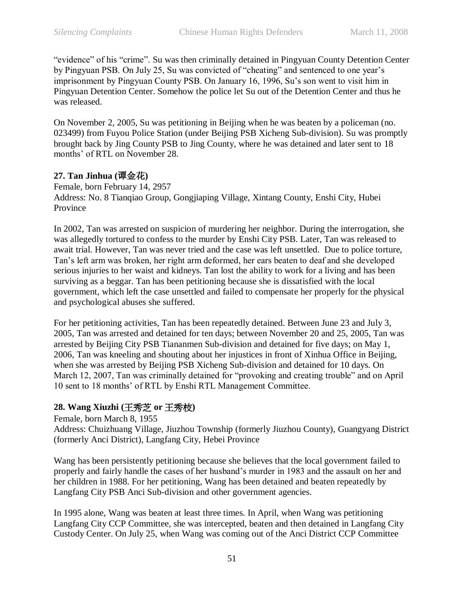"evidence" of his "crime". Su was then criminally detained in Pingyuan County Detention Center by Pingyuan PSB. On July 25, Su was convicted of "cheating" and sentenced to one year's imprisonment by Pingyuan County PSB. On January 16, 1996, Su's son went to visit him in Pingyuan Detention Center. Somehow the police let Su out of the Detention Center and thus he was released.

On November 2, 2005, Su was petitioning in Beijing when he was beaten by a policeman (no. 023499) from Fuyou Police Station (under Beijing PSB Xicheng Sub-division). Su was promptly brought back by Jing County PSB to Jing County, where he was detained and later sent to 18 months' of RTL on November 28.

## **27. Tan Jinhua (**谭金花**)**

Female, born February 14, 2957 Address: No. 8 Tianqiao Group, Gongjiaping Village, Xintang County, Enshi City, Hubei Province

In 2002, Tan was arrested on suspicion of murdering her neighbor. During the interrogation, she was allegedly tortured to confess to the murder by Enshi City PSB. Later, Tan was released to await trial. However, Tan was never tried and the case was left unsettled. Due to police torture, Tan's left arm was broken, her right arm deformed, her ears beaten to deaf and she developed serious injuries to her waist and kidneys. Tan lost the ability to work for a living and has been surviving as a beggar. Tan has been petitioning because she is dissatisfied with the local government, which left the case unsettled and failed to compensate her properly for the physical and psychological abuses she suffered.

For her petitioning activities, Tan has been repeatedly detained. Between June 23 and July 3, 2005, Tan was arrested and detained for ten days; between November 20 and 25, 2005, Tan was arrested by Beijing City PSB Tiananmen Sub-division and detained for five days; on May 1, 2006, Tan was kneeling and shouting about her injustices in front of Xinhua Office in Beijing, when she was arrested by Beijing PSB Xicheng Sub-division and detained for 10 days. On March 12, 2007, Tan was criminally detained for "provoking and creating trouble" and on April 10 sent to 18 months' of RTL by Enshi RTL Management Committee.

## **28. Wang Xiuzhi (**王秀芝 **or** 王秀枝**)**

Female, born March 8, 1955

Address: Chuizhuang Village, Jiuzhou Township (formerly Jiuzhou County), Guangyang District (formerly Anci District), Langfang City, Hebei Province

Wang has been persistently petitioning because she believes that the local government failed to properly and fairly handle the cases of her husband's murder in 1983 and the assault on her and her children in 1988. For her petitioning, Wang has been detained and beaten repeatedly by Langfang City PSB Anci Sub-division and other government agencies.

In 1995 alone, Wang was beaten at least three times. In April, when Wang was petitioning Langfang City CCP Committee, she was intercepted, beaten and then detained in Langfang City Custody Center. On July 25, when Wang was coming out of the Anci District CCP Committee